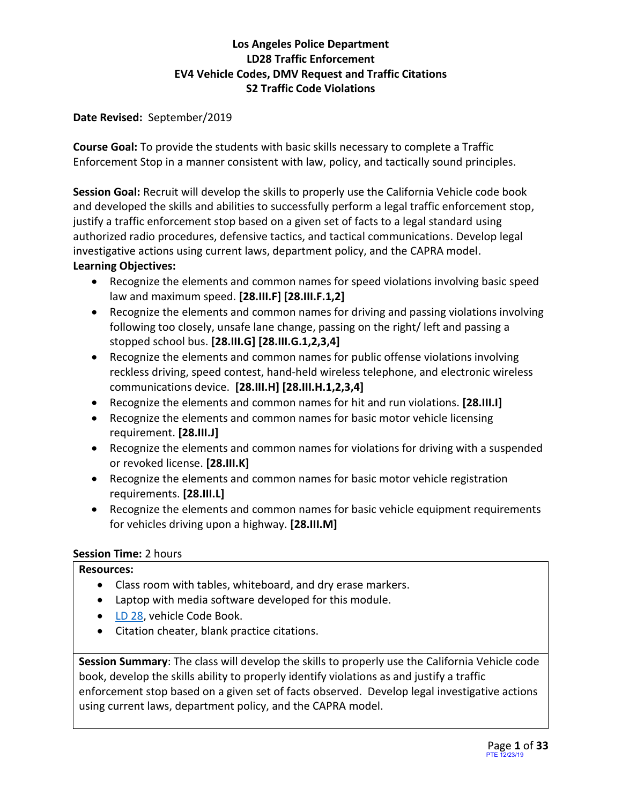#### **Date Revised:** September/2019

**Course Goal:** To provide the students with basic skills necessary to complete a Traffic Enforcement Stop in a manner consistent with law, policy, and tactically sound principles.

**Session Goal:** Recruit will develop the skills to properly use the California Vehicle code book and developed the skills and abilities to successfully perform a legal traffic enforcement stop, justify a traffic enforcement stop based on a given set of facts to a legal standard using authorized radio procedures, defensive tactics, and tactical communications. Develop legal investigative actions using current laws, department policy, and the CAPRA model.

### **Learning Objectives:**

- Recognize the elements and common names for speed violations involving basic speed law and maximum speed. **[28.III.F] [28.III.F.1,2]**
- Recognize the elements and common names for driving and passing violations involving following too closely, unsafe lane change, passing on the right/ left and passing a stopped school bus. **[28.III.G] [28.III.G.1,2,3,4]**
- Recognize the elements and common names for public offense violations involving reckless driving, speed contest, hand-held wireless telephone, and electronic wireless communications device. **[28.III.H] [28.III.H.1,2,3,4]**
- Recognize the elements and common names for hit and run violations. **[28.III.I]**
- Recognize the elements and common names for basic motor vehicle licensing requirement. **[28.III.J]**
- Recognize the elements and common names for violations for driving with a suspended or revoked license. **[28.III.K]**
- Recognize the elements and common names for basic motor vehicle registration requirements. **[28.III.L]**
- Recognize the elements and common names for basic vehicle equipment requirements for vehicles driving upon a highway. **[28.III.M]**

# **Session Time:** 2 hours

#### **Resources:**

- Class room with tables, whiteboard, and dry erase markers.
- Laptop with media software developed for this module.
- [LD 28,](file:///I:/LD%20book_28_V-6.1.pdf) vehicle Code Book.
- Citation cheater, blank practice citations.

**Session Summary**: The class will develop the skills to properly use the California Vehicle code book, develop the skills ability to properly identify violations as and justify a traffic enforcement stop based on a given set of facts observed. Develop legal investigative actions using current laws, department policy, and the CAPRA model.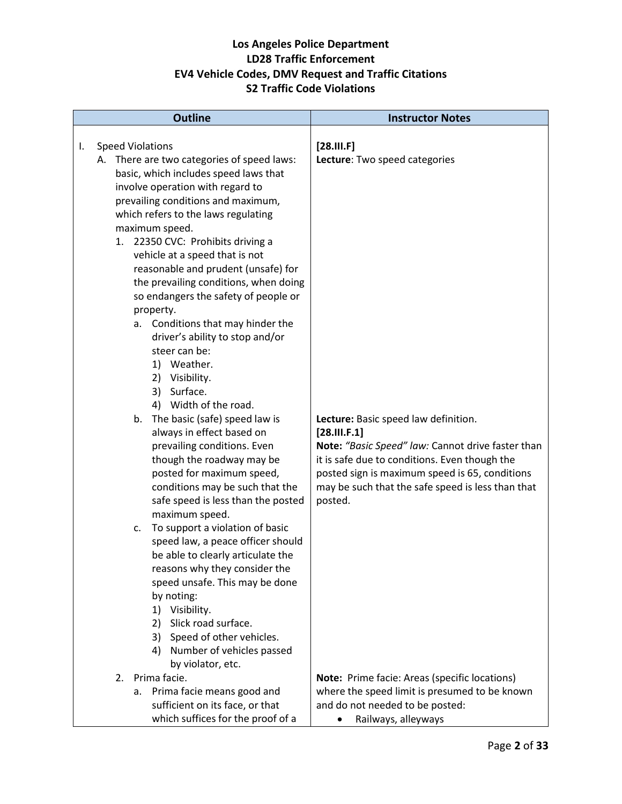|    |    | <b>Outline</b>                                                                                                                                                                                                                                                                                                                                                                                                                                                                                                                                                                                                                                                                                                                                                                                                                                                                                                                                                                                                                                                                              | <b>Instructor Notes</b>                                                                                                                                                                                                                                                                                                         |
|----|----|---------------------------------------------------------------------------------------------------------------------------------------------------------------------------------------------------------------------------------------------------------------------------------------------------------------------------------------------------------------------------------------------------------------------------------------------------------------------------------------------------------------------------------------------------------------------------------------------------------------------------------------------------------------------------------------------------------------------------------------------------------------------------------------------------------------------------------------------------------------------------------------------------------------------------------------------------------------------------------------------------------------------------------------------------------------------------------------------|---------------------------------------------------------------------------------------------------------------------------------------------------------------------------------------------------------------------------------------------------------------------------------------------------------------------------------|
| I. |    | <b>Speed Violations</b><br>A. There are two categories of speed laws:<br>basic, which includes speed laws that<br>involve operation with regard to<br>prevailing conditions and maximum,<br>which refers to the laws regulating<br>maximum speed.<br>1. 22350 CVC: Prohibits driving a<br>vehicle at a speed that is not<br>reasonable and prudent (unsafe) for<br>the prevailing conditions, when doing<br>so endangers the safety of people or<br>property.<br>a. Conditions that may hinder the<br>driver's ability to stop and/or<br>steer can be:<br>1) Weather.<br>2) Visibility.<br>3) Surface.<br>4) Width of the road.<br>The basic (safe) speed law is<br>b.<br>always in effect based on<br>prevailing conditions. Even<br>though the roadway may be<br>posted for maximum speed,<br>conditions may be such that the<br>safe speed is less than the posted<br>maximum speed.<br>To support a violation of basic<br>c.<br>speed law, a peace officer should<br>be able to clearly articulate the<br>reasons why they consider the<br>speed unsafe. This may be done<br>by noting: | $[28.$ III. F]<br>Lecture: Two speed categories<br>Lecture: Basic speed law definition.<br>[28.111.F.1]<br>Note: "Basic Speed" law: Cannot drive faster than<br>it is safe due to conditions. Even though the<br>posted sign is maximum speed is 65, conditions<br>may be such that the safe speed is less than that<br>posted. |
|    |    | 1) Visibility.<br>Slick road surface.<br>2)<br>Speed of other vehicles.<br>3)<br>4) Number of vehicles passed<br>by violator, etc.                                                                                                                                                                                                                                                                                                                                                                                                                                                                                                                                                                                                                                                                                                                                                                                                                                                                                                                                                          |                                                                                                                                                                                                                                                                                                                                 |
|    | 2. | Prima facie.<br>Prima facie means good and<br>а.<br>sufficient on its face, or that<br>which suffices for the proof of a                                                                                                                                                                                                                                                                                                                                                                                                                                                                                                                                                                                                                                                                                                                                                                                                                                                                                                                                                                    | Note: Prime facie: Areas (specific locations)<br>where the speed limit is presumed to be known<br>and do not needed to be posted:<br>Railways, alleyways                                                                                                                                                                        |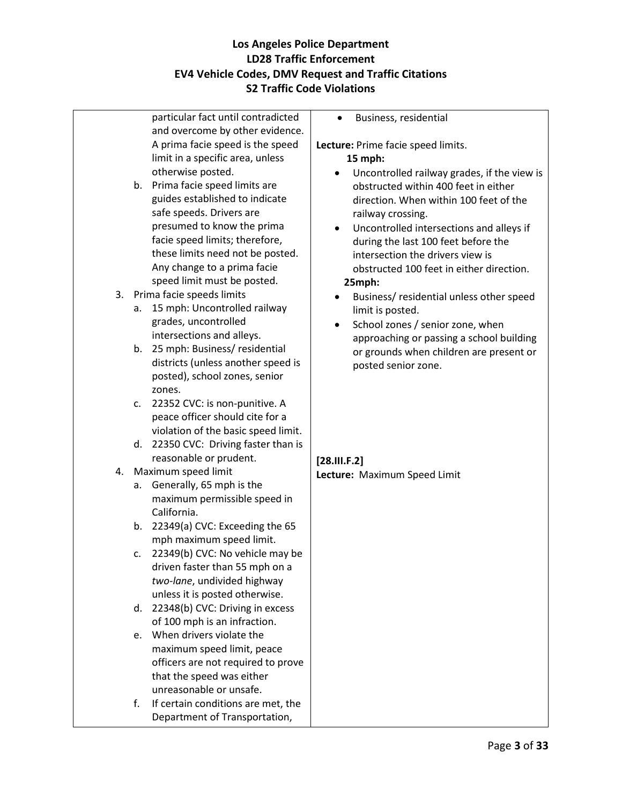|    | particular fact until contradicted   | Business, residential                         |
|----|--------------------------------------|-----------------------------------------------|
|    | and overcome by other evidence.      |                                               |
|    | A prima facie speed is the speed     | Lecture: Prime facie speed limits.            |
|    | limit in a specific area, unless     | 15 mph:                                       |
|    | otherwise posted.                    | Uncontrolled railway grades, if the view is   |
| b. | Prima facie speed limits are         | obstructed within 400 feet in either          |
|    | guides established to indicate       | direction. When within 100 feet of the        |
|    | safe speeds. Drivers are             | railway crossing.                             |
|    | presumed to know the prima           | Uncontrolled intersections and alleys if      |
|    | facie speed limits; therefore,       | during the last 100 feet before the           |
|    | these limits need not be posted.     | intersection the drivers view is              |
|    | Any change to a prima facie          | obstructed 100 feet in either direction.      |
|    | speed limit must be posted.          | 25mph:                                        |
|    | 3. Prima facie speeds limits         | Business/ residential unless other speed<br>٠ |
| a. | 15 mph: Uncontrolled railway         | limit is posted.                              |
|    | grades, uncontrolled                 | School zones / senior zone, when              |
|    | intersections and alleys.            | approaching or passing a school building      |
| b. | 25 mph: Business/ residential        | or grounds when children are present or       |
|    | districts (unless another speed is   | posted senior zone.                           |
|    | posted), school zones, senior        |                                               |
|    | zones.                               |                                               |
| c. | 22352 CVC: is non-punitive. A        |                                               |
|    | peace officer should cite for a      |                                               |
|    | violation of the basic speed limit.  |                                               |
|    | d. 22350 CVC: Driving faster than is |                                               |
|    | reasonable or prudent.               | [28.111.F.2]                                  |
|    | 4. Maximum speed limit               | Lecture: Maximum Speed Limit                  |
| а. | Generally, 65 mph is the             |                                               |
|    | maximum permissible speed in         |                                               |
|    | California.                          |                                               |
| b. | 22349(a) CVC: Exceeding the 65       |                                               |
|    | mph maximum speed limit.             |                                               |
| c. | 22349(b) CVC: No vehicle may be      |                                               |
|    | driven faster than 55 mph on a       |                                               |
|    | two-lane, undivided highway          |                                               |
|    | unless it is posted otherwise.       |                                               |
| d. | 22348(b) CVC: Driving in excess      |                                               |
|    | of 100 mph is an infraction.         |                                               |
| e. | When drivers violate the             |                                               |
|    | maximum speed limit, peace           |                                               |
|    | officers are not required to prove   |                                               |
|    | that the speed was either            |                                               |
|    | unreasonable or unsafe.              |                                               |
| f. | If certain conditions are met, the   |                                               |
|    | Department of Transportation,        |                                               |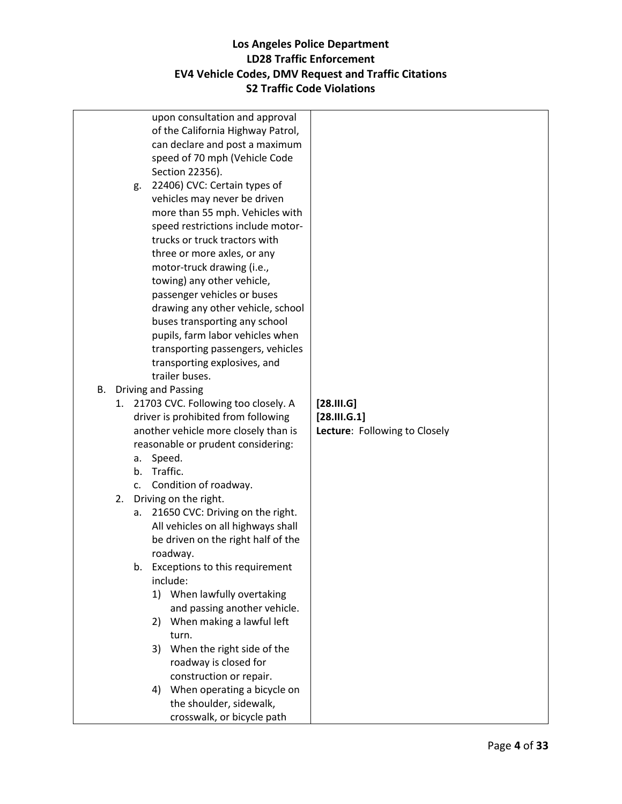|    |    |    | upon consultation and approval                              |                               |
|----|----|----|-------------------------------------------------------------|-------------------------------|
|    |    |    | of the California Highway Patrol,                           |                               |
|    |    |    | can declare and post a maximum                              |                               |
|    |    |    | speed of 70 mph (Vehicle Code                               |                               |
|    |    |    | Section 22356).                                             |                               |
|    |    | g. | 22406) CVC: Certain types of                                |                               |
|    |    |    | vehicles may never be driven                                |                               |
|    |    |    | more than 55 mph. Vehicles with                             |                               |
|    |    |    | speed restrictions include motor-                           |                               |
|    |    |    | trucks or truck tractors with                               |                               |
|    |    |    | three or more axles, or any                                 |                               |
|    |    |    | motor-truck drawing (i.e.,                                  |                               |
|    |    |    | towing) any other vehicle,                                  |                               |
|    |    |    | passenger vehicles or buses                                 |                               |
|    |    |    | drawing any other vehicle, school                           |                               |
|    |    |    | buses transporting any school                               |                               |
|    |    |    | pupils, farm labor vehicles when                            |                               |
|    |    |    | transporting passengers, vehicles                           |                               |
|    |    |    | transporting explosives, and                                |                               |
|    |    |    | trailer buses.                                              |                               |
| В. |    |    | <b>Driving and Passing</b>                                  |                               |
|    | 1. |    | 21703 CVC. Following too closely. A                         | [28.11.6]                     |
|    |    |    | driver is prohibited from following                         | [28.11.6.1]                   |
|    |    |    | another vehicle more closely than is                        | Lecture: Following to Closely |
|    |    |    | reasonable or prudent considering:                          |                               |
|    |    | а. | Speed.                                                      |                               |
|    |    |    | b. Traffic.                                                 |                               |
|    |    | c. | Condition of roadway.                                       |                               |
|    |    |    | 2. Driving on the right.                                    |                               |
|    |    | a. | 21650 CVC: Driving on the right.                            |                               |
|    |    |    | All vehicles on all highways shall                          |                               |
|    |    |    | be driven on the right half of the                          |                               |
|    |    |    | roadway.                                                    |                               |
|    |    | b. | Exceptions to this requirement<br>include:                  |                               |
|    |    |    |                                                             |                               |
|    |    |    | 1) When lawfully overtaking<br>and passing another vehicle. |                               |
|    |    |    | When making a lawful left<br>2)                             |                               |
|    |    |    | turn.                                                       |                               |
|    |    |    | 3) When the right side of the                               |                               |
|    |    |    | roadway is closed for                                       |                               |
|    |    |    | construction or repair.                                     |                               |
|    |    |    | 4) When operating a bicycle on                              |                               |
|    |    |    | the shoulder, sidewalk,                                     |                               |
|    |    |    | crosswalk, or bicycle path                                  |                               |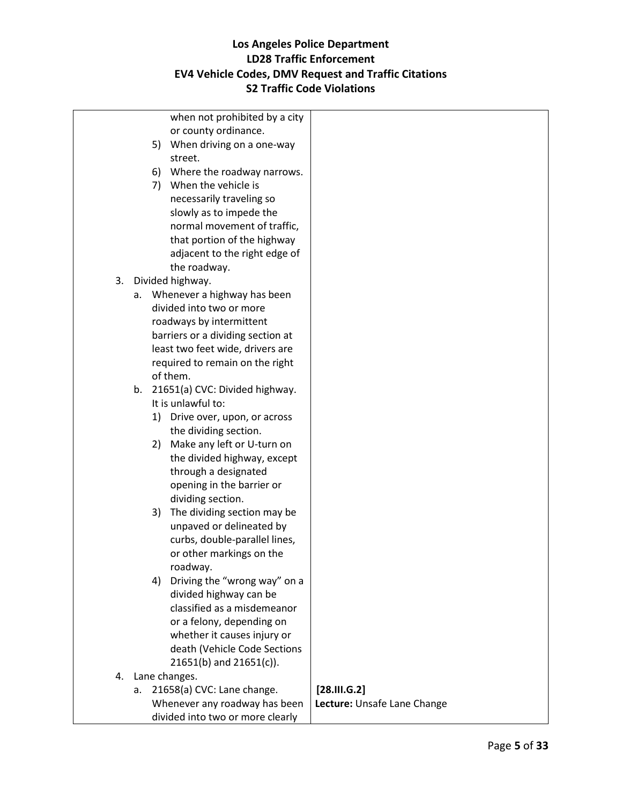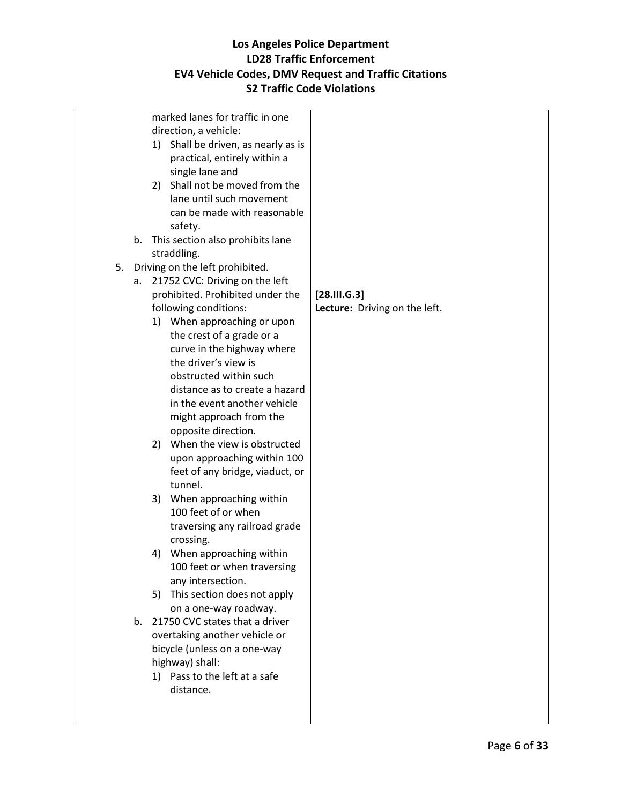| marked lanes for traffic in one                               |                               |
|---------------------------------------------------------------|-------------------------------|
| direction, a vehicle:                                         |                               |
| 1) Shall be driven, as nearly as is                           |                               |
| practical, entirely within a                                  |                               |
| single lane and                                               |                               |
| 2) Shall not be moved from the                                |                               |
| lane until such movement                                      |                               |
| can be made with reasonable                                   |                               |
| safety.                                                       |                               |
| This section also prohibits lane<br>b.                        |                               |
| straddling.                                                   |                               |
| 5.<br>Driving on the left prohibited.                         |                               |
| 21752 CVC: Driving on the left<br>а.                          |                               |
| prohibited. Prohibited under the                              | [28.11.6.3]                   |
| following conditions:                                         | Lecture: Driving on the left. |
| 1) When approaching or upon                                   |                               |
| the crest of a grade or a                                     |                               |
| curve in the highway where<br>the driver's view is            |                               |
| obstructed within such                                        |                               |
| distance as to create a hazard                                |                               |
| in the event another vehicle                                  |                               |
| might approach from the                                       |                               |
| opposite direction.                                           |                               |
| 2) When the view is obstructed                                |                               |
| upon approaching within 100                                   |                               |
| feet of any bridge, viaduct, or                               |                               |
| tunnel.                                                       |                               |
| 3) When approaching within                                    |                               |
| 100 feet of or when                                           |                               |
| traversing any railroad grade                                 |                               |
| crossing.                                                     |                               |
| When approaching within<br>4)                                 |                               |
| 100 feet or when traversing                                   |                               |
| any intersection.                                             |                               |
| 5) This section does not apply                                |                               |
| on a one-way roadway.<br>21750 CVC states that a driver<br>b. |                               |
| overtaking another vehicle or                                 |                               |
| bicycle (unless on a one-way                                  |                               |
| highway) shall:                                               |                               |
| 1) Pass to the left at a safe                                 |                               |
| distance.                                                     |                               |
|                                                               |                               |
|                                                               |                               |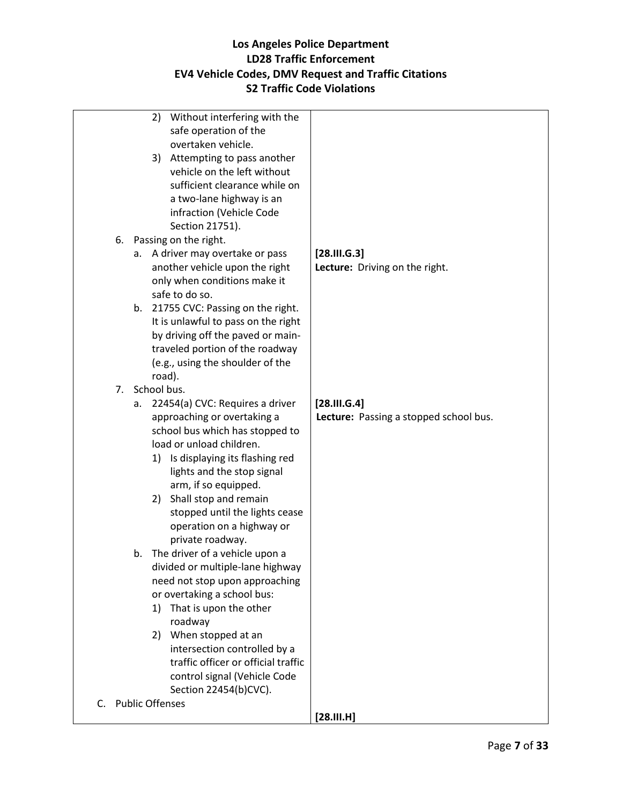| 2) Without interfering with the                 |                                        |
|-------------------------------------------------|----------------------------------------|
| safe operation of the                           |                                        |
| overtaken vehicle.                              |                                        |
| 3) Attempting to pass another                   |                                        |
| vehicle on the left without                     |                                        |
| sufficient clearance while on                   |                                        |
|                                                 |                                        |
| a two-lane highway is an                        |                                        |
| infraction (Vehicle Code                        |                                        |
| Section 21751).                                 |                                        |
| 6. Passing on the right.                        |                                        |
| A driver may overtake or pass<br>а.             | [28.11.6.3]                            |
| another vehicle upon the right                  | Lecture: Driving on the right.         |
| only when conditions make it                    |                                        |
| safe to do so.                                  |                                        |
| 21755 CVC: Passing on the right.<br>b.          |                                        |
| It is unlawful to pass on the right             |                                        |
| by driving off the paved or main-               |                                        |
| traveled portion of the roadway                 |                                        |
| (e.g., using the shoulder of the                |                                        |
| road).                                          |                                        |
| School bus.<br>7.                               |                                        |
| 22454(a) CVC: Requires a driver                 | [28.11.6.4]                            |
| а.                                              |                                        |
| approaching or overtaking a                     | Lecture: Passing a stopped school bus. |
| school bus which has stopped to                 |                                        |
| load or unload children.                        |                                        |
| 1) Is displaying its flashing red               |                                        |
| lights and the stop signal                      |                                        |
| arm, if so equipped.                            |                                        |
| Shall stop and remain<br>2)                     |                                        |
| stopped until the lights cease                  |                                        |
| operation on a highway or                       |                                        |
| private roadway.                                |                                        |
| The driver of a vehicle upon a<br>b.            |                                        |
| divided or multiple-lane highway                |                                        |
| need not stop upon approaching                  |                                        |
| or overtaking a school bus:                     |                                        |
| That is upon the other<br>1)                    |                                        |
| roadway                                         |                                        |
| 2) When stopped at an                           |                                        |
| intersection controlled by a                    |                                        |
| traffic officer or official traffic             |                                        |
| control signal (Vehicle Code                    |                                        |
|                                                 |                                        |
| Section 22454(b)CVC).<br><b>Public Offenses</b> |                                        |
| C.                                              |                                        |
|                                                 | [28.111. H]                            |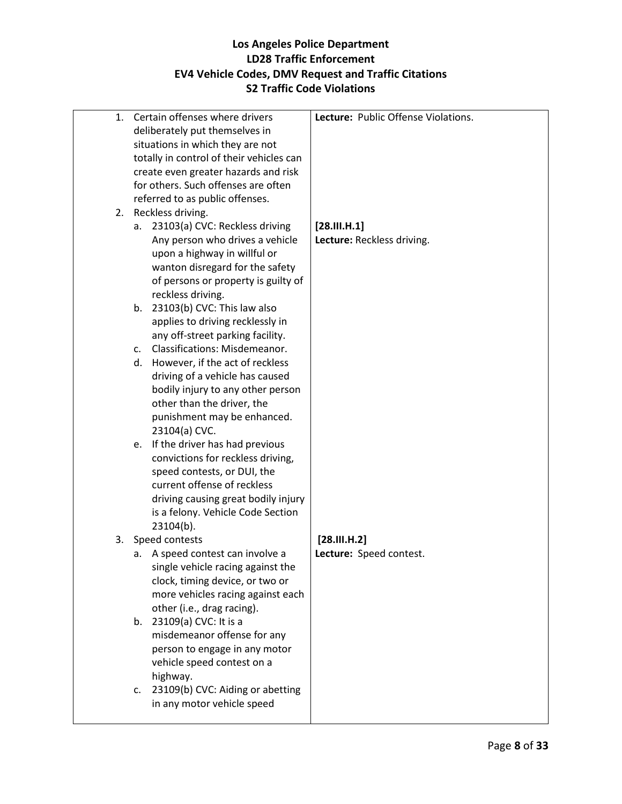| 1. | Certain offenses where drivers<br>deliberately put themselves in | Lecture: Public Offense Violations. |
|----|------------------------------------------------------------------|-------------------------------------|
|    | situations in which they are not                                 |                                     |
|    | totally in control of their vehicles can                         |                                     |
|    | create even greater hazards and risk                             |                                     |
|    |                                                                  |                                     |
|    | for others. Such offenses are often                              |                                     |
|    | referred to as public offenses.                                  |                                     |
|    | 2. Reckless driving.                                             |                                     |
|    | 23103(a) CVC: Reckless driving<br>а.                             | [28.111.11]                         |
|    | Any person who drives a vehicle                                  | Lecture: Reckless driving.          |
|    | upon a highway in willful or                                     |                                     |
|    | wanton disregard for the safety                                  |                                     |
|    | of persons or property is guilty of                              |                                     |
|    | reckless driving.                                                |                                     |
|    | b. 23103(b) CVC: This law also                                   |                                     |
|    | applies to driving recklessly in                                 |                                     |
|    | any off-street parking facility.                                 |                                     |
|    | Classifications: Misdemeanor.<br>C <sub>1</sub>                  |                                     |
|    | However, if the act of reckless<br>d.                            |                                     |
|    |                                                                  |                                     |
|    | driving of a vehicle has caused                                  |                                     |
|    | bodily injury to any other person                                |                                     |
|    | other than the driver, the                                       |                                     |
|    | punishment may be enhanced.                                      |                                     |
|    | 23104(a) CVC.                                                    |                                     |
|    | e. If the driver has had previous                                |                                     |
|    | convictions for reckless driving,                                |                                     |
|    | speed contests, or DUI, the                                      |                                     |
|    | current offense of reckless                                      |                                     |
|    | driving causing great bodily injury                              |                                     |
|    | is a felony. Vehicle Code Section                                |                                     |
|    | $23104(b)$ .                                                     |                                     |
| 3. | Speed contests                                                   | [28.111.14.2]                       |
|    | a. A speed contest can involve a                                 | Lecture: Speed contest.             |
|    | single vehicle racing against the                                |                                     |
|    | clock, timing device, or two or                                  |                                     |
|    | more vehicles racing against each                                |                                     |
|    | other (i.e., drag racing).                                       |                                     |
|    | b. 23109(a) CVC: It is a                                         |                                     |
|    | misdemeanor offense for any                                      |                                     |
|    | person to engage in any motor                                    |                                     |
|    | vehicle speed contest on a                                       |                                     |
|    |                                                                  |                                     |
|    | highway.                                                         |                                     |
|    | 23109(b) CVC: Aiding or abetting<br>C.                           |                                     |
|    | in any motor vehicle speed                                       |                                     |
|    |                                                                  |                                     |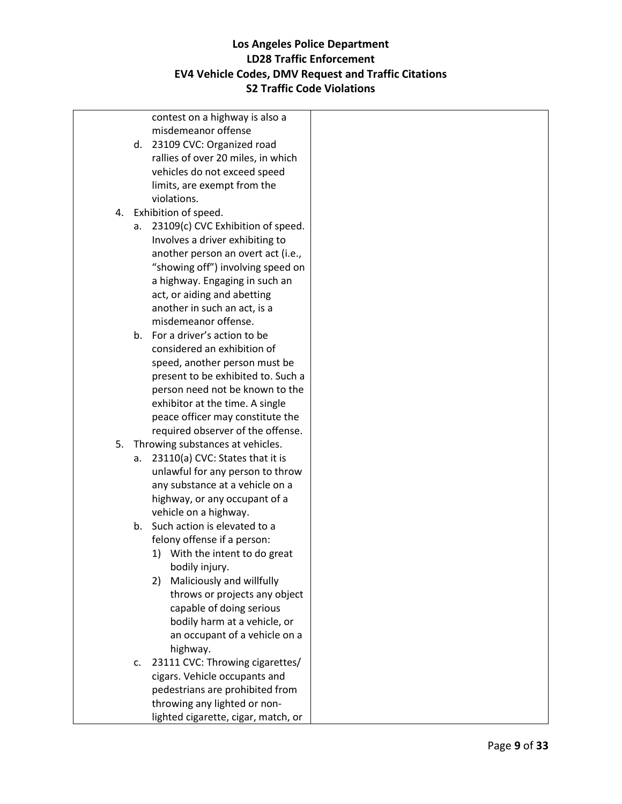|    |    |                      | contest on a highway is also a      |  |
|----|----|----------------------|-------------------------------------|--|
|    |    |                      | misdemeanor offense                 |  |
|    |    |                      | d. 23109 CVC: Organized road        |  |
|    |    |                      | rallies of over 20 miles, in which  |  |
|    |    |                      | vehicles do not exceed speed        |  |
|    |    |                      | limits, are exempt from the         |  |
|    |    | violations.          |                                     |  |
| 4. |    | Exhibition of speed. |                                     |  |
|    | а. |                      | 23109(c) CVC Exhibition of speed.   |  |
|    |    |                      | Involves a driver exhibiting to     |  |
|    |    |                      | another person an overt act (i.e.,  |  |
|    |    |                      | "showing off") involving speed on   |  |
|    |    |                      | a highway. Engaging in such an      |  |
|    |    |                      | act, or aiding and abetting         |  |
|    |    |                      | another in such an act, is a        |  |
|    |    |                      | misdemeanor offense.                |  |
|    |    |                      | b. For a driver's action to be      |  |
|    |    |                      | considered an exhibition of         |  |
|    |    |                      | speed, another person must be       |  |
|    |    |                      | present to be exhibited to. Such a  |  |
|    |    |                      | person need not be known to the     |  |
|    |    |                      | exhibitor at the time. A single     |  |
|    |    |                      | peace officer may constitute the    |  |
|    |    |                      | required observer of the offense.   |  |
| 5. |    |                      | Throwing substances at vehicles.    |  |
|    | а. |                      | 23110(a) CVC: States that it is     |  |
|    |    |                      | unlawful for any person to throw    |  |
|    |    |                      | any substance at a vehicle on a     |  |
|    |    |                      | highway, or any occupant of a       |  |
|    |    |                      | vehicle on a highway.               |  |
|    |    |                      | b. Such action is elevated to a     |  |
|    |    |                      | felony offense if a person:         |  |
|    |    |                      | 1) With the intent to do great      |  |
|    |    |                      | bodily injury.                      |  |
|    |    | 2)                   | Maliciously and willfully           |  |
|    |    |                      | throws or projects any object       |  |
|    |    |                      | capable of doing serious            |  |
|    |    |                      | bodily harm at a vehicle, or        |  |
|    |    |                      | an occupant of a vehicle on a       |  |
|    |    | highway.             |                                     |  |
|    | c. |                      | 23111 CVC: Throwing cigarettes/     |  |
|    |    |                      | cigars. Vehicle occupants and       |  |
|    |    |                      | pedestrians are prohibited from     |  |
|    |    |                      | throwing any lighted or non-        |  |
|    |    |                      | lighted cigarette, cigar, match, or |  |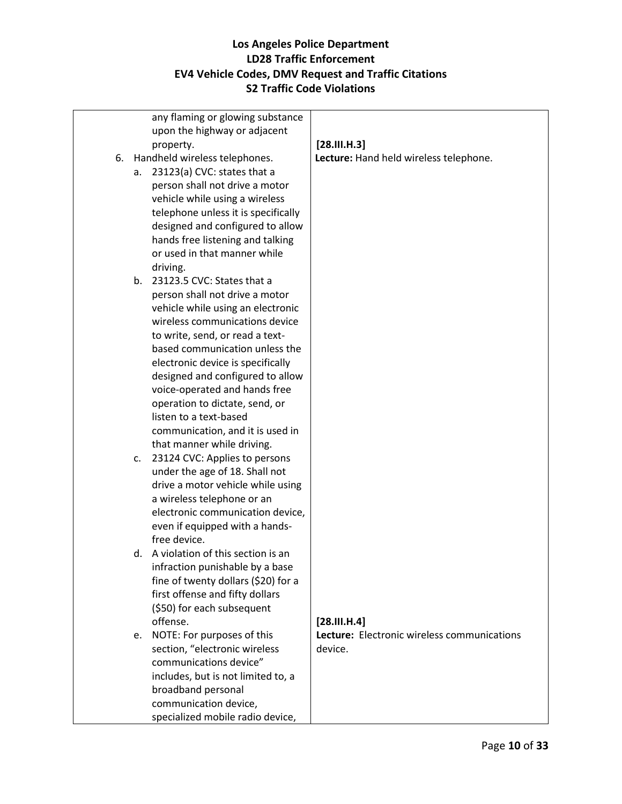|    | any flaming or glowing substance     |                                             |
|----|--------------------------------------|---------------------------------------------|
|    | upon the highway or adjacent         |                                             |
|    | property.                            | [28.111.14.3]                               |
|    | 6. Handheld wireless telephones.     | Lecture: Hand held wireless telephone.      |
| а. | 23123(a) CVC: states that a          |                                             |
|    | person shall not drive a motor       |                                             |
|    | vehicle while using a wireless       |                                             |
|    | telephone unless it is specifically  |                                             |
|    | designed and configured to allow     |                                             |
|    | hands free listening and talking     |                                             |
|    | or used in that manner while         |                                             |
|    | driving.                             |                                             |
|    | b. 23123.5 CVC: States that a        |                                             |
|    | person shall not drive a motor       |                                             |
|    | vehicle while using an electronic    |                                             |
|    | wireless communications device       |                                             |
|    | to write, send, or read a text-      |                                             |
|    | based communication unless the       |                                             |
|    | electronic device is specifically    |                                             |
|    | designed and configured to allow     |                                             |
|    | voice-operated and hands free        |                                             |
|    | operation to dictate, send, or       |                                             |
|    | listen to a text-based               |                                             |
|    | communication, and it is used in     |                                             |
|    | that manner while driving.           |                                             |
| c. | 23124 CVC: Applies to persons        |                                             |
|    | under the age of 18. Shall not       |                                             |
|    | drive a motor vehicle while using    |                                             |
|    | a wireless telephone or an           |                                             |
|    | electronic communication device,     |                                             |
|    | even if equipped with a hands-       |                                             |
|    | free device.                         |                                             |
|    | d. A violation of this section is an |                                             |
|    | infraction punishable by a base      |                                             |
|    | fine of twenty dollars (\$20) for a  |                                             |
|    | first offense and fifty dollars      |                                             |
|    | (\$50) for each subsequent           |                                             |
|    | offense.                             | [28.111.14]                                 |
| e. | NOTE: For purposes of this           | Lecture: Electronic wireless communications |
|    | section, "electronic wireless        | device.                                     |
|    | communications device"               |                                             |
|    | includes, but is not limited to, a   |                                             |
|    | broadband personal                   |                                             |
|    | communication device,                |                                             |
|    | specialized mobile radio device,     |                                             |
|    |                                      |                                             |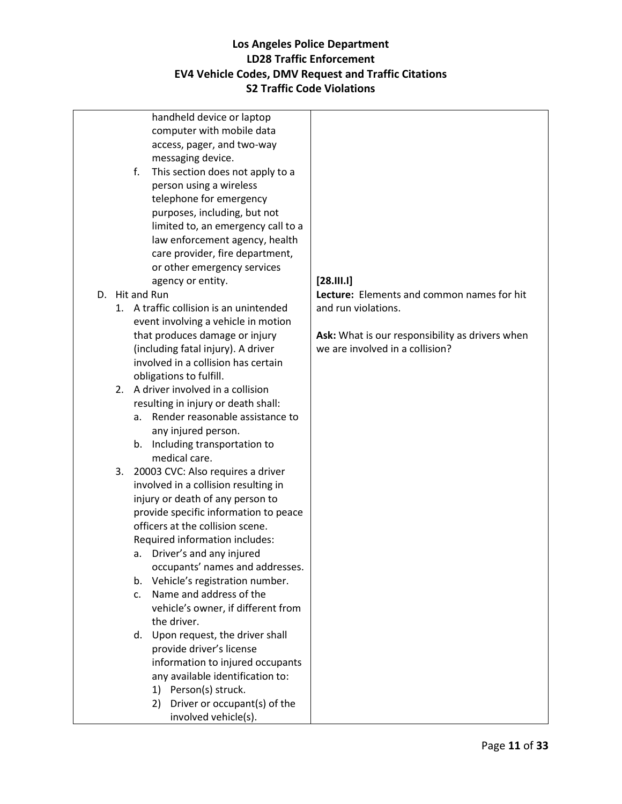handheld device or laptop computer with mobile data access, pager, and two-way messaging device.

- f. This section does not apply to a person using a wireless telephone for emergency purposes, including, but not limited to, an emergency call to a law enforcement agency, health care provider, fire department, or other emergency services agency or entity.
- D. Hit and Run
	- 1. A traffic collision is an unintended event involving a vehicle in motion that produces damage or injury (including fatal injury). A driver involved in a collision has certain obligations to fulfill.
	- 2. A driver involved in a collision resulting in injury or death shall:
		- a. Render reasonable assistance to any injured person.
		- b. Including transportation to medical care.
	- 3. 20003 CVC: Also requires a driver involved in a collision resulting in injury or death of any person to provide specific information to peace officers at the collision scene. Required information includes:
		- a. Driver's and any injured occupants' names and addresses.
		- b. Vehicle's registration number.
		- c. Name and address of the vehicle's owner, if different from the driver.
		- d. Upon request, the driver shall provide driver's license information to injured occupants any available identification to:
			- 1) Person(s) struck.
			- 2) Driver or occupant(s) of the involved vehicle(s).

#### **[28.III.I]**

**Lecture:** Elements and common names for hit and run violations.

**Ask:** What is our responsibility as drivers when we are involved in a collision?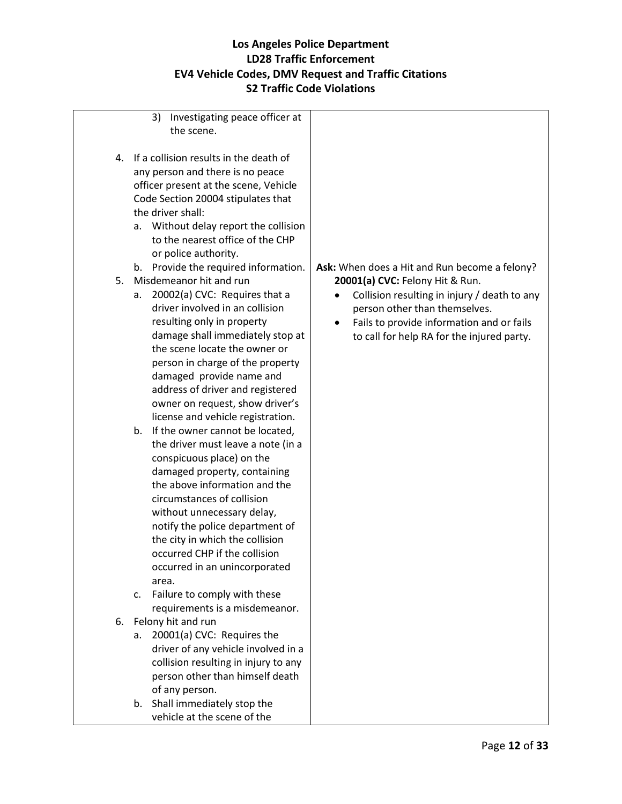| Investigating peace officer at<br>3)         |                                                   |
|----------------------------------------------|---------------------------------------------------|
| the scene.                                   |                                                   |
|                                              |                                                   |
| If a collision results in the death of<br>4. |                                                   |
| any person and there is no peace             |                                                   |
| officer present at the scene, Vehicle        |                                                   |
| Code Section 20004 stipulates that           |                                                   |
| the driver shall:                            |                                                   |
| Without delay report the collision<br>а.     |                                                   |
| to the nearest office of the CHP             |                                                   |
| or police authority.                         |                                                   |
| b. Provide the required information.         | Ask: When does a Hit and Run become a felony?     |
| Misdemeanor hit and run<br>5.                | 20001(a) CVC: Felony Hit & Run.                   |
| 20002(a) CVC: Requires that a<br>a.          | Collision resulting in injury / death to any<br>٠ |
| driver involved in an collision              | person other than themselves.                     |
| resulting only in property                   | Fails to provide information and or fails         |
| damage shall immediately stop at             |                                                   |
| the scene locate the owner or                | to call for help RA for the injured party.        |
|                                              |                                                   |
| person in charge of the property             |                                                   |
| damaged provide name and                     |                                                   |
| address of driver and registered             |                                                   |
| owner on request, show driver's              |                                                   |
| license and vehicle registration.            |                                                   |
| b. If the owner cannot be located,           |                                                   |
| the driver must leave a note (in a           |                                                   |
| conspicuous place) on the                    |                                                   |
| damaged property, containing                 |                                                   |
| the above information and the                |                                                   |
| circumstances of collision                   |                                                   |
| without unnecessary delay,                   |                                                   |
| notify the police department of              |                                                   |
| the city in which the collision              |                                                   |
| occurred CHP if the collision                |                                                   |
| occurred in an unincorporated                |                                                   |
| area.                                        |                                                   |
| Failure to comply with these<br>c.           |                                                   |
| requirements is a misdemeanor.               |                                                   |
| 6. Felony hit and run                        |                                                   |
| 20001(a) CVC: Requires the<br>a.             |                                                   |
| driver of any vehicle involved in a          |                                                   |
| collision resulting in injury to any         |                                                   |
| person other than himself death              |                                                   |
| of any person.                               |                                                   |
| b. Shall immediately stop the                |                                                   |
| vehicle at the scene of the                  |                                                   |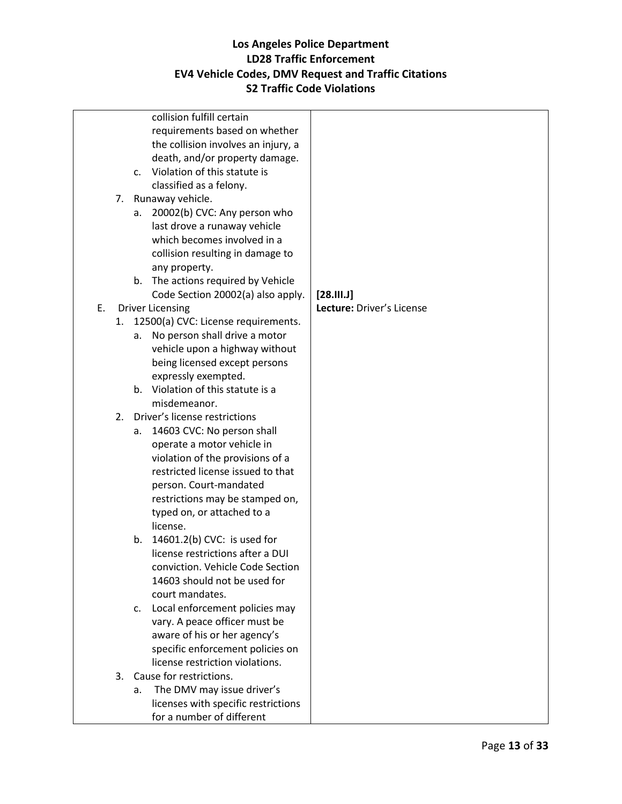|    |                      | collision fulfill certain                                                                                                                                                                                                                                                                                                                                                                                                                                                                                                                                                                                                                                                                                                                                                                                              |                           |
|----|----------------------|------------------------------------------------------------------------------------------------------------------------------------------------------------------------------------------------------------------------------------------------------------------------------------------------------------------------------------------------------------------------------------------------------------------------------------------------------------------------------------------------------------------------------------------------------------------------------------------------------------------------------------------------------------------------------------------------------------------------------------------------------------------------------------------------------------------------|---------------------------|
|    |                      | requirements based on whether                                                                                                                                                                                                                                                                                                                                                                                                                                                                                                                                                                                                                                                                                                                                                                                          |                           |
|    |                      | the collision involves an injury, a                                                                                                                                                                                                                                                                                                                                                                                                                                                                                                                                                                                                                                                                                                                                                                                    |                           |
|    |                      | death, and/or property damage.                                                                                                                                                                                                                                                                                                                                                                                                                                                                                                                                                                                                                                                                                                                                                                                         |                           |
|    | C <sub>1</sub>       | Violation of this statute is                                                                                                                                                                                                                                                                                                                                                                                                                                                                                                                                                                                                                                                                                                                                                                                           |                           |
|    |                      | classified as a felony.                                                                                                                                                                                                                                                                                                                                                                                                                                                                                                                                                                                                                                                                                                                                                                                                |                           |
|    | 7.                   | Runaway vehicle.                                                                                                                                                                                                                                                                                                                                                                                                                                                                                                                                                                                                                                                                                                                                                                                                       |                           |
|    | а.                   | 20002(b) CVC: Any person who                                                                                                                                                                                                                                                                                                                                                                                                                                                                                                                                                                                                                                                                                                                                                                                           |                           |
|    |                      | last drove a runaway vehicle                                                                                                                                                                                                                                                                                                                                                                                                                                                                                                                                                                                                                                                                                                                                                                                           |                           |
|    |                      | which becomes involved in a                                                                                                                                                                                                                                                                                                                                                                                                                                                                                                                                                                                                                                                                                                                                                                                            |                           |
|    |                      | collision resulting in damage to                                                                                                                                                                                                                                                                                                                                                                                                                                                                                                                                                                                                                                                                                                                                                                                       |                           |
|    |                      | any property.                                                                                                                                                                                                                                                                                                                                                                                                                                                                                                                                                                                                                                                                                                                                                                                                          |                           |
|    |                      | b. The actions required by Vehicle                                                                                                                                                                                                                                                                                                                                                                                                                                                                                                                                                                                                                                                                                                                                                                                     |                           |
|    |                      | Code Section 20002(a) also apply.                                                                                                                                                                                                                                                                                                                                                                                                                                                                                                                                                                                                                                                                                                                                                                                      | $[28.111.1]$              |
| E. |                      | <b>Driver Licensing</b>                                                                                                                                                                                                                                                                                                                                                                                                                                                                                                                                                                                                                                                                                                                                                                                                | Lecture: Driver's License |
|    |                      | 1. 12500(a) CVC: License requirements.                                                                                                                                                                                                                                                                                                                                                                                                                                                                                                                                                                                                                                                                                                                                                                                 |                           |
|    | a.                   | No person shall drive a motor                                                                                                                                                                                                                                                                                                                                                                                                                                                                                                                                                                                                                                                                                                                                                                                          |                           |
|    |                      | vehicle upon a highway without                                                                                                                                                                                                                                                                                                                                                                                                                                                                                                                                                                                                                                                                                                                                                                                         |                           |
|    |                      | being licensed except persons                                                                                                                                                                                                                                                                                                                                                                                                                                                                                                                                                                                                                                                                                                                                                                                          |                           |
|    |                      |                                                                                                                                                                                                                                                                                                                                                                                                                                                                                                                                                                                                                                                                                                                                                                                                                        |                           |
|    |                      |                                                                                                                                                                                                                                                                                                                                                                                                                                                                                                                                                                                                                                                                                                                                                                                                                        |                           |
|    |                      |                                                                                                                                                                                                                                                                                                                                                                                                                                                                                                                                                                                                                                                                                                                                                                                                                        |                           |
|    | 2.                   |                                                                                                                                                                                                                                                                                                                                                                                                                                                                                                                                                                                                                                                                                                                                                                                                                        |                           |
|    | a.                   |                                                                                                                                                                                                                                                                                                                                                                                                                                                                                                                                                                                                                                                                                                                                                                                                                        |                           |
|    |                      |                                                                                                                                                                                                                                                                                                                                                                                                                                                                                                                                                                                                                                                                                                                                                                                                                        |                           |
|    |                      |                                                                                                                                                                                                                                                                                                                                                                                                                                                                                                                                                                                                                                                                                                                                                                                                                        |                           |
|    |                      |                                                                                                                                                                                                                                                                                                                                                                                                                                                                                                                                                                                                                                                                                                                                                                                                                        |                           |
|    |                      |                                                                                                                                                                                                                                                                                                                                                                                                                                                                                                                                                                                                                                                                                                                                                                                                                        |                           |
|    |                      |                                                                                                                                                                                                                                                                                                                                                                                                                                                                                                                                                                                                                                                                                                                                                                                                                        |                           |
|    |                      |                                                                                                                                                                                                                                                                                                                                                                                                                                                                                                                                                                                                                                                                                                                                                                                                                        |                           |
|    |                      |                                                                                                                                                                                                                                                                                                                                                                                                                                                                                                                                                                                                                                                                                                                                                                                                                        |                           |
|    |                      |                                                                                                                                                                                                                                                                                                                                                                                                                                                                                                                                                                                                                                                                                                                                                                                                                        |                           |
|    |                      |                                                                                                                                                                                                                                                                                                                                                                                                                                                                                                                                                                                                                                                                                                                                                                                                                        |                           |
|    |                      |                                                                                                                                                                                                                                                                                                                                                                                                                                                                                                                                                                                                                                                                                                                                                                                                                        |                           |
|    |                      |                                                                                                                                                                                                                                                                                                                                                                                                                                                                                                                                                                                                                                                                                                                                                                                                                        |                           |
|    |                      |                                                                                                                                                                                                                                                                                                                                                                                                                                                                                                                                                                                                                                                                                                                                                                                                                        |                           |
|    |                      |                                                                                                                                                                                                                                                                                                                                                                                                                                                                                                                                                                                                                                                                                                                                                                                                                        |                           |
|    |                      |                                                                                                                                                                                                                                                                                                                                                                                                                                                                                                                                                                                                                                                                                                                                                                                                                        |                           |
|    |                      |                                                                                                                                                                                                                                                                                                                                                                                                                                                                                                                                                                                                                                                                                                                                                                                                                        |                           |
|    |                      |                                                                                                                                                                                                                                                                                                                                                                                                                                                                                                                                                                                                                                                                                                                                                                                                                        |                           |
|    |                      |                                                                                                                                                                                                                                                                                                                                                                                                                                                                                                                                                                                                                                                                                                                                                                                                                        |                           |
|    |                      |                                                                                                                                                                                                                                                                                                                                                                                                                                                                                                                                                                                                                                                                                                                                                                                                                        |                           |
|    |                      |                                                                                                                                                                                                                                                                                                                                                                                                                                                                                                                                                                                                                                                                                                                                                                                                                        |                           |
|    |                      |                                                                                                                                                                                                                                                                                                                                                                                                                                                                                                                                                                                                                                                                                                                                                                                                                        |                           |
|    | b.<br>C.<br>3.<br>a. | expressly exempted.<br>b. Violation of this statute is a<br>misdemeanor.<br>Driver's license restrictions<br>14603 CVC: No person shall<br>operate a motor vehicle in<br>violation of the provisions of a<br>restricted license issued to that<br>person. Court-mandated<br>restrictions may be stamped on,<br>typed on, or attached to a<br>license.<br>14601.2(b) CVC: is used for<br>license restrictions after a DUI<br>conviction. Vehicle Code Section<br>14603 should not be used for<br>court mandates.<br>Local enforcement policies may<br>vary. A peace officer must be<br>aware of his or her agency's<br>specific enforcement policies on<br>license restriction violations.<br>Cause for restrictions.<br>The DMV may issue driver's<br>licenses with specific restrictions<br>for a number of different |                           |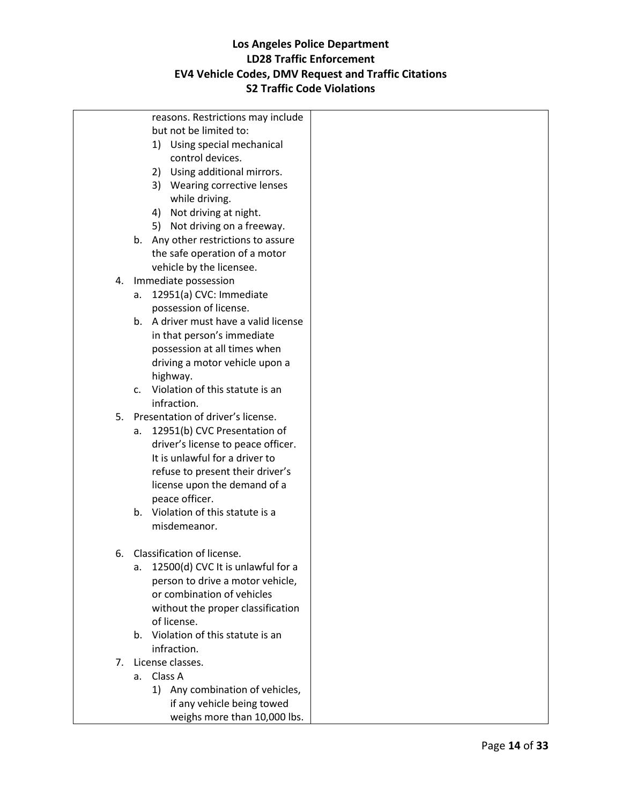|                | reasons. Restrictions may include       |  |
|----------------|-----------------------------------------|--|
|                | but not be limited to:                  |  |
|                | 1) Using special mechanical             |  |
|                | control devices.                        |  |
|                | 2) Using additional mirrors.            |  |
|                | 3) Wearing corrective lenses            |  |
|                | while driving.                          |  |
|                | 4) Not driving at night.                |  |
|                | 5) Not driving on a freeway.            |  |
|                | b. Any other restrictions to assure     |  |
|                | the safe operation of a motor           |  |
|                | vehicle by the licensee.                |  |
| 4.             | Immediate possession                    |  |
|                | 12951(a) CVC: Immediate<br>a.           |  |
|                | possession of license.                  |  |
|                | b. A driver must have a valid license   |  |
|                | in that person's immediate              |  |
|                | possession at all times when            |  |
|                | driving a motor vehicle upon a          |  |
|                | highway.                                |  |
|                | c. Violation of this statute is an      |  |
|                | infraction.                             |  |
| 5.             | Presentation of driver's license.       |  |
|                | 12951(b) CVC Presentation of<br>а.      |  |
|                | driver's license to peace officer.      |  |
|                | It is unlawful for a driver to          |  |
|                | refuse to present their driver's        |  |
|                | license upon the demand of a            |  |
|                | peace officer.                          |  |
|                | b. Violation of this statute is a       |  |
|                | misdemeanor.                            |  |
|                |                                         |  |
| 6.             | Classification of license.              |  |
|                | 12500(d) CVC It is unlawful for a<br>a. |  |
|                | person to drive a motor vehicle,        |  |
|                | or combination of vehicles              |  |
|                | without the proper classification       |  |
|                | of license.                             |  |
|                | Violation of this statute is an<br>b.   |  |
|                | infraction.                             |  |
| 7 <sub>1</sub> | License classes.                        |  |
|                | a. Class A                              |  |
|                | 1) Any combination of vehicles,         |  |
|                | if any vehicle being towed              |  |
|                | weighs more than 10,000 lbs.            |  |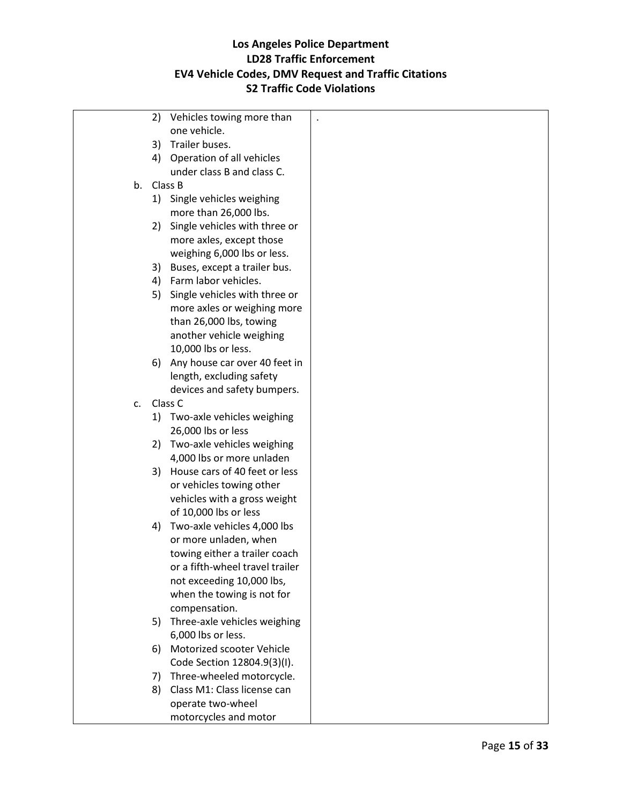|    | 2) | Vehicles towing more than       |  |
|----|----|---------------------------------|--|
|    |    | one vehicle.                    |  |
|    | 3) | Trailer buses.                  |  |
|    |    | 4) Operation of all vehicles    |  |
|    |    | under class B and class C.      |  |
| b. |    | Class B                         |  |
|    |    | 1) Single vehicles weighing     |  |
|    |    | more than 26,000 lbs.           |  |
|    | 2) | Single vehicles with three or   |  |
|    |    | more axles, except those        |  |
|    |    | weighing 6,000 lbs or less.     |  |
|    | 3) | Buses, except a trailer bus.    |  |
|    |    | 4) Farm labor vehicles.         |  |
|    | 5) | Single vehicles with three or   |  |
|    |    | more axles or weighing more     |  |
|    |    | than 26,000 lbs, towing         |  |
|    |    | another vehicle weighing        |  |
|    |    | 10,000 lbs or less.             |  |
|    | 6) | Any house car over 40 feet in   |  |
|    |    | length, excluding safety        |  |
|    |    | devices and safety bumpers.     |  |
| c. |    | Class C                         |  |
|    | 1) | Two-axle vehicles weighing      |  |
|    |    | 26,000 lbs or less              |  |
|    |    | 2) Two-axle vehicles weighing   |  |
|    |    | 4,000 lbs or more unladen       |  |
|    | 3) | House cars of 40 feet or less   |  |
|    |    | or vehicles towing other        |  |
|    |    | vehicles with a gross weight    |  |
|    |    | of 10,000 lbs or less           |  |
|    | 4) | Two-axle vehicles 4,000 lbs     |  |
|    |    | or more unladen, when           |  |
|    |    | towing either a trailer coach   |  |
|    |    | or a fifth-wheel travel trailer |  |
|    |    | not exceeding 10,000 lbs,       |  |
|    |    | when the towing is not for      |  |
|    |    | compensation.                   |  |
|    | 5) | Three-axle vehicles weighing    |  |
|    |    | 6,000 lbs or less.              |  |
|    | 6) | Motorized scooter Vehicle       |  |
|    |    | Code Section 12804.9(3)(I).     |  |
|    | 7) | Three-wheeled motorcycle.       |  |
|    | 8) | Class M1: Class license can     |  |
|    |    | operate two-wheel               |  |
|    |    | motorcycles and motor           |  |
|    |    |                                 |  |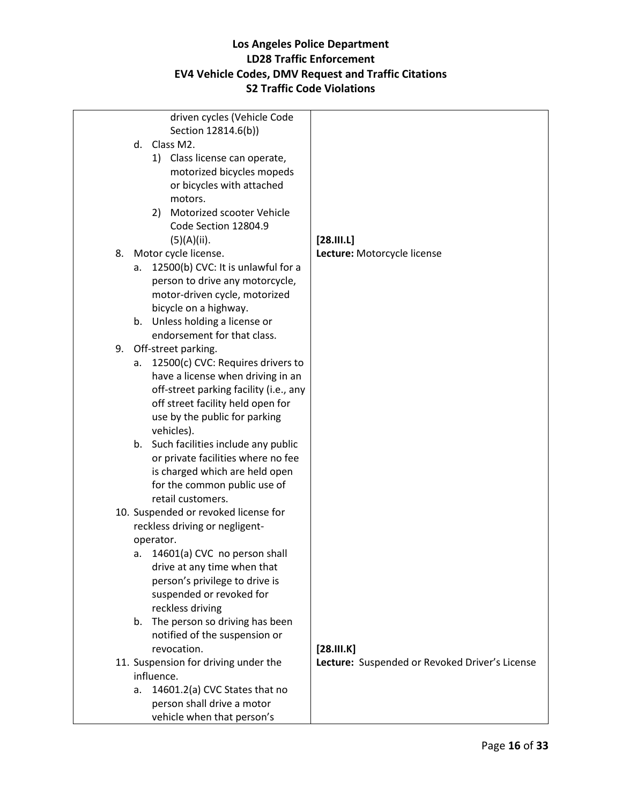|    | driven cycles (Vehicle Code                                   |                                                |
|----|---------------------------------------------------------------|------------------------------------------------|
|    | Section 12814.6(b))                                           |                                                |
|    | d. Class M2.                                                  |                                                |
|    | 1) Class license can operate,                                 |                                                |
|    | motorized bicycles mopeds                                     |                                                |
|    | or bicycles with attached                                     |                                                |
|    | motors.                                                       |                                                |
|    | Motorized scooter Vehicle<br>2)                               |                                                |
|    | Code Section 12804.9                                          |                                                |
|    | (5)(A)(ii).                                                   | [28.111.1]                                     |
| 8. | Motor cycle license.                                          | Lecture: Motorcycle license                    |
|    | 12500(b) CVC: It is unlawful for a<br>а.                      |                                                |
|    | person to drive any motorcycle,                               |                                                |
|    | motor-driven cycle, motorized                                 |                                                |
|    | bicycle on a highway.                                         |                                                |
|    | b. Unless holding a license or<br>endorsement for that class. |                                                |
| 9. | Off-street parking.                                           |                                                |
|    | 12500(c) CVC: Requires drivers to<br>а.                       |                                                |
|    | have a license when driving in an                             |                                                |
|    | off-street parking facility (i.e., any                        |                                                |
|    | off street facility held open for                             |                                                |
|    | use by the public for parking                                 |                                                |
|    | vehicles).                                                    |                                                |
|    | b. Such facilities include any public                         |                                                |
|    | or private facilities where no fee                            |                                                |
|    | is charged which are held open                                |                                                |
|    | for the common public use of                                  |                                                |
|    | retail customers.                                             |                                                |
|    | 10. Suspended or revoked license for                          |                                                |
|    | reckless driving or negligent-                                |                                                |
|    | operator.                                                     |                                                |
|    | 14601(a) CVC no person shall<br>а.                            |                                                |
|    | drive at any time when that                                   |                                                |
|    | person's privilege to drive is<br>suspended or revoked for    |                                                |
|    | reckless driving                                              |                                                |
|    | The person so driving has been<br>b.                          |                                                |
|    | notified of the suspension or                                 |                                                |
|    | revocation.                                                   | [28.11.1K]                                     |
|    | 11. Suspension for driving under the                          | Lecture: Suspended or Revoked Driver's License |
|    | influence.                                                    |                                                |
|    | 14601.2(a) CVC States that no<br>a.                           |                                                |
|    | person shall drive a motor                                    |                                                |
|    | vehicle when that person's                                    |                                                |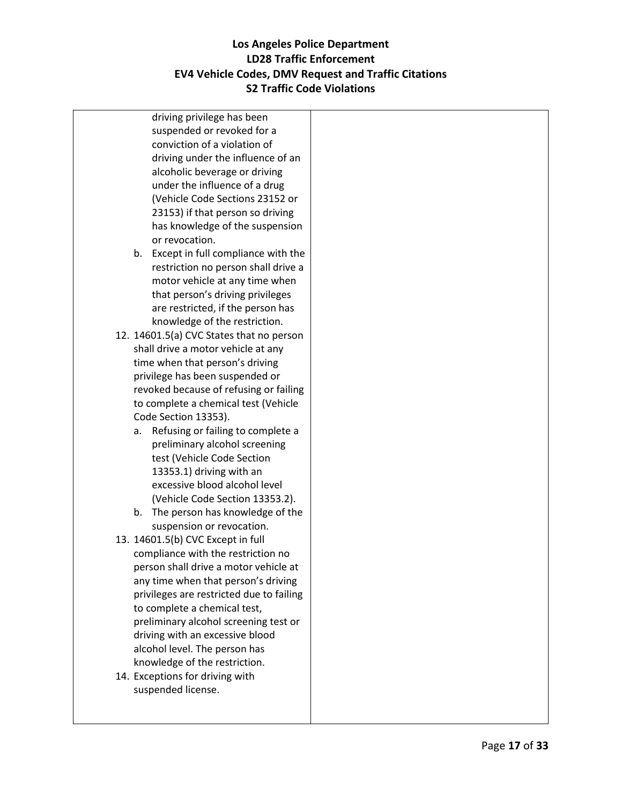driving privilege has been suspended or revoked for a conviction of a violation of driving under the influence of an alcoholic beverage or driving under the influence of a drug (Vehicle Code Sections 23152 or 23153) if that person so driving has knowledge of the suspension or revocation.

- b. Except in full compliance with the restriction no person shall drive a motor vehicle at any time when that person's driving privileges are restricted, if the person has knowledge of the restriction.
- 12. 14601.5(a) CVC States that no person shall drive a motor vehicle at any time when that person's driving privilege has been suspended or revoked because of refusing or failing to complete a chemical test (Vehicle Code Section 13353).
	- a. Refusing or failing to complete a preliminary alcohol screening test (Vehicle Code Section 13353.1) driving with an excessive blood alcohol level (Vehicle Code Section 13353.2).
	- b. The person has knowledge of the suspension or revocation.
- 13. 14601.5(b) CVC Except in full compliance with the restriction no person shall drive a motor vehicle at any time when that person's driving privileges are restricted due to failing to complete a chemical test, preliminary alcohol screening test or driving with an excessive blood alcohol level. The person has knowledge of the restriction.
- 14. Exceptions for driving with suspended license.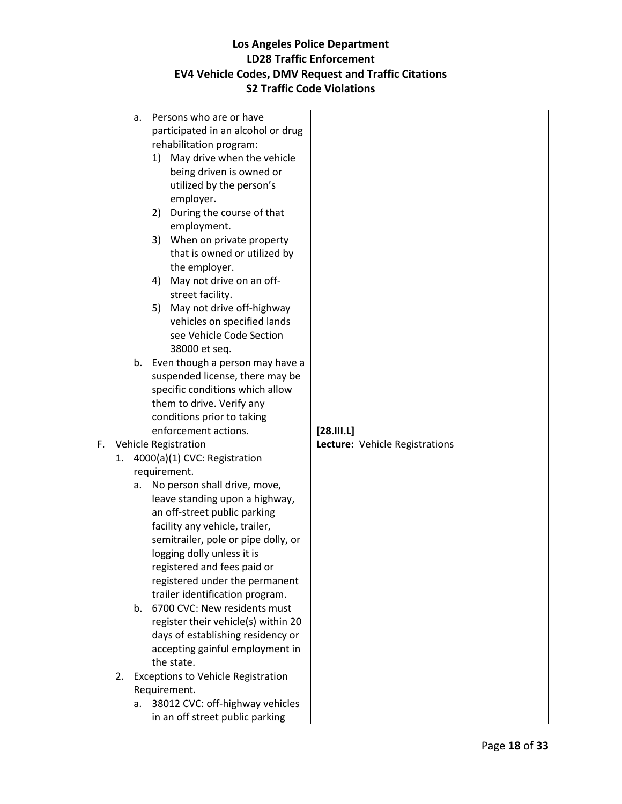| a.                         | Persons who are or have                   |                                |
|----------------------------|-------------------------------------------|--------------------------------|
|                            | participated in an alcohol or drug        |                                |
|                            | rehabilitation program:                   |                                |
|                            | 1) May drive when the vehicle             |                                |
|                            | being driven is owned or                  |                                |
|                            | utilized by the person's                  |                                |
|                            | employer.                                 |                                |
| 2)                         | During the course of that                 |                                |
|                            | employment.                               |                                |
|                            | 3) When on private property               |                                |
|                            | that is owned or utilized by              |                                |
|                            | the employer.                             |                                |
| 4)                         | May not drive on an off-                  |                                |
|                            | street facility.                          |                                |
|                            | 5) May not drive off-highway              |                                |
|                            | vehicles on specified lands               |                                |
|                            | see Vehicle Code Section                  |                                |
|                            | 38000 et seq.                             |                                |
|                            | b. Even though a person may have a        |                                |
|                            | suspended license, there may be           |                                |
|                            | specific conditions which allow           |                                |
|                            | them to drive. Verify any                 |                                |
|                            | conditions prior to taking                |                                |
|                            | enforcement actions.                      | [28.111.1]                     |
| F.<br>Vehicle Registration |                                           | Lecture: Vehicle Registrations |
| 1.                         | 4000(a)(1) CVC: Registration              |                                |
| requirement.               |                                           |                                |
| a.                         | No person shall drive, move,              |                                |
|                            | leave standing upon a highway,            |                                |
|                            | an off-street public parking              |                                |
|                            | facility any vehicle, trailer,            |                                |
|                            | semitrailer, pole or pipe dolly, or       |                                |
|                            | logging dolly unless it is                |                                |
|                            | registered and fees paid or               |                                |
|                            | registered under the permanent            |                                |
|                            | trailer identification program.           |                                |
| $b_{-}$                    | 6700 CVC: New residents must              |                                |
|                            | register their vehicle(s) within 20       |                                |
|                            | days of establishing residency or         |                                |
|                            | accepting gainful employment in           |                                |
| the state.                 |                                           |                                |
| 2.                         | <b>Exceptions to Vehicle Registration</b> |                                |
| Requirement.               |                                           |                                |
| а.                         | 38012 CVC: off-highway vehicles           |                                |
|                            | in an off street public parking           |                                |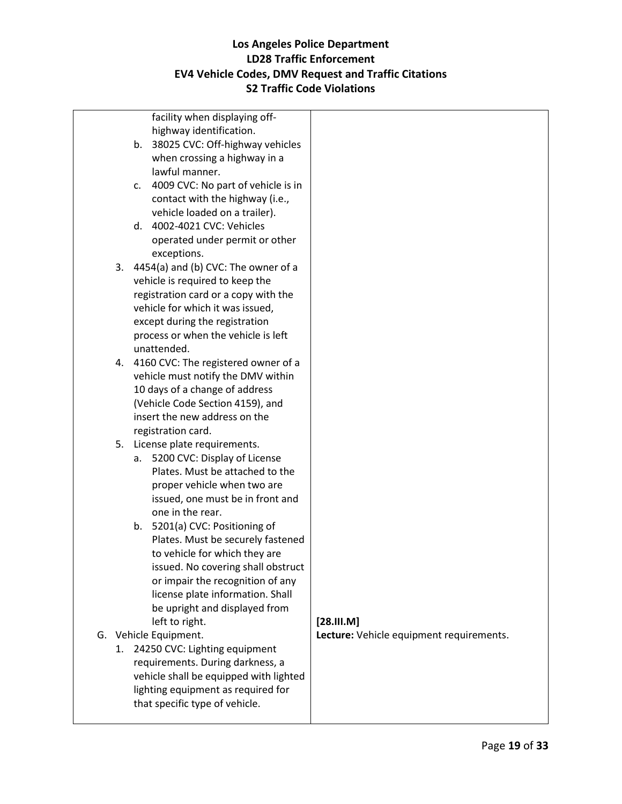| facility when displaying off-            |                                          |
|------------------------------------------|------------------------------------------|
| highway identification.                  |                                          |
| 38025 CVC: Off-highway vehicles<br>b.    |                                          |
| when crossing a highway in a             |                                          |
| lawful manner.                           |                                          |
| 4009 CVC: No part of vehicle is in<br>c. |                                          |
| contact with the highway (i.e.,          |                                          |
| vehicle loaded on a trailer).            |                                          |
| d. 4002-4021 CVC: Vehicles               |                                          |
| operated under permit or other           |                                          |
| exceptions.                              |                                          |
| 3. 4454(a) and (b) CVC: The owner of a   |                                          |
| vehicle is required to keep the          |                                          |
| registration card or a copy with the     |                                          |
| vehicle for which it was issued,         |                                          |
| except during the registration           |                                          |
| process or when the vehicle is left      |                                          |
| unattended.                              |                                          |
| 4. 4160 CVC: The registered owner of a   |                                          |
| vehicle must notify the DMV within       |                                          |
| 10 days of a change of address           |                                          |
| (Vehicle Code Section 4159), and         |                                          |
| insert the new address on the            |                                          |
| registration card.                       |                                          |
| 5. License plate requirements.           |                                          |
| 5200 CVC: Display of License<br>а.       |                                          |
| Plates. Must be attached to the          |                                          |
| proper vehicle when two are              |                                          |
| issued, one must be in front and         |                                          |
| one in the rear.                         |                                          |
| b. 5201(a) CVC: Positioning of           |                                          |
| Plates. Must be securely fastened        |                                          |
| to vehicle for which they are            |                                          |
| issued. No covering shall obstruct       |                                          |
| or impair the recognition of any         |                                          |
| license plate information. Shall         |                                          |
| be upright and displayed from            |                                          |
| left to right.                           | $[28.$ III.M]                            |
| G. Vehicle Equipment.                    | Lecture: Vehicle equipment requirements. |
| 1. 24250 CVC: Lighting equipment         |                                          |
| requirements. During darkness, a         |                                          |
| vehicle shall be equipped with lighted   |                                          |
| lighting equipment as required for       |                                          |
| that specific type of vehicle.           |                                          |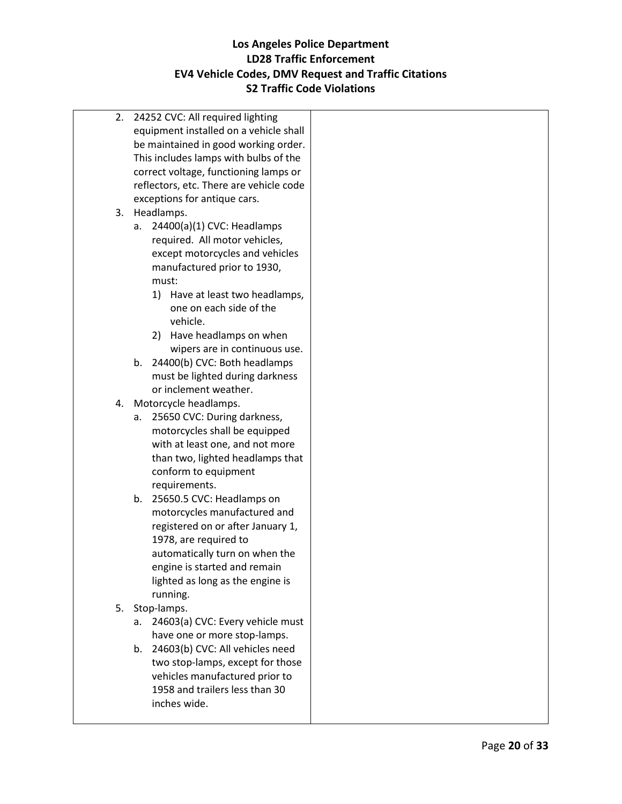| 2. | 24252 CVC: All required lighting        |  |
|----|-----------------------------------------|--|
|    | equipment installed on a vehicle shall  |  |
|    | be maintained in good working order.    |  |
|    | This includes lamps with bulbs of the   |  |
|    | correct voltage, functioning lamps or   |  |
|    | reflectors, etc. There are vehicle code |  |
|    | exceptions for antique cars.            |  |
|    | 3. Headlamps.                           |  |
|    | 24400(a)(1) CVC: Headlamps<br>a.        |  |
|    | required. All motor vehicles,           |  |
|    |                                         |  |
|    | except motorcycles and vehicles         |  |
|    | manufactured prior to 1930,             |  |
|    | must:                                   |  |
|    | 1) Have at least two headlamps,         |  |
|    | one on each side of the                 |  |
|    | vehicle.                                |  |
|    | Have headlamps on when<br>2)            |  |
|    | wipers are in continuous use.           |  |
|    | 24400(b) CVC: Both headlamps<br>b.      |  |
|    | must be lighted during darkness         |  |
|    | or inclement weather.                   |  |
| 4. | Motorcycle headlamps.                   |  |
|    | 25650 CVC: During darkness,<br>а.       |  |
|    | motorcycles shall be equipped           |  |
|    | with at least one, and not more         |  |
|    | than two, lighted headlamps that        |  |
|    | conform to equipment                    |  |
|    | requirements.                           |  |
|    | 25650.5 CVC: Headlamps on<br>b.         |  |
|    | motorcycles manufactured and            |  |
|    | registered on or after January 1,       |  |
|    | 1978, are required to                   |  |
|    | automatically turn on when the          |  |
|    | engine is started and remain            |  |
|    | lighted as long as the engine is        |  |
|    | running.                                |  |
| 5. | Stop-lamps.                             |  |
|    | 24603(a) CVC: Every vehicle must<br>а.  |  |
|    | have one or more stop-lamps.            |  |
|    | 24603(b) CVC: All vehicles need<br>b.   |  |
|    | two stop-lamps, except for those        |  |
|    | vehicles manufactured prior to          |  |
|    | 1958 and trailers less than 30          |  |
|    | inches wide.                            |  |
|    |                                         |  |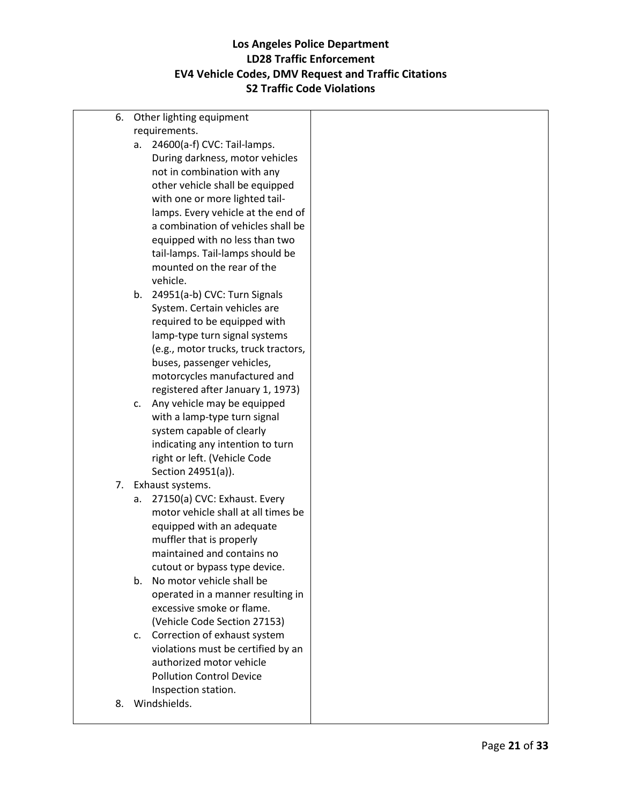6. Other lighting equipment requirements. a. 24600(a-f) CVC: Tail-lamps. During darkness, motor vehicles not in combination with any other vehicle shall be equipped with one or more lighted taillamps. Every vehicle at the end of a combination of vehicles shall be equipped with no less than two tail-lamps. Tail-lamps should be mounted on the rear of the vehicle. b. 24951(a-b) CVC: Turn Signals System. Certain vehicles are required to be equipped with lamp-type turn signal systems (e.g., motor trucks, truck tractors, buses, passenger vehicles, motorcycles manufactured and registered after January 1, 1973) c. Any vehicle may be equipped with a lamp-type turn signal system capable of clearly indicating any intention to turn right or left. (Vehicle Code Section 24951(a)). 7. Exhaust systems. a. 27150(a) CVC: Exhaust. Every motor vehicle shall at all times be equipped with an adequate muffler that is properly maintained and contains no cutout or bypass type device. b. No motor vehicle shall be operated in a manner resulting in excessive smoke or flame. (Vehicle Code Section 27153) c. Correction of exhaust system violations must be certified by an authorized motor vehicle Pollution Control Device Inspection station. 8. Windshields.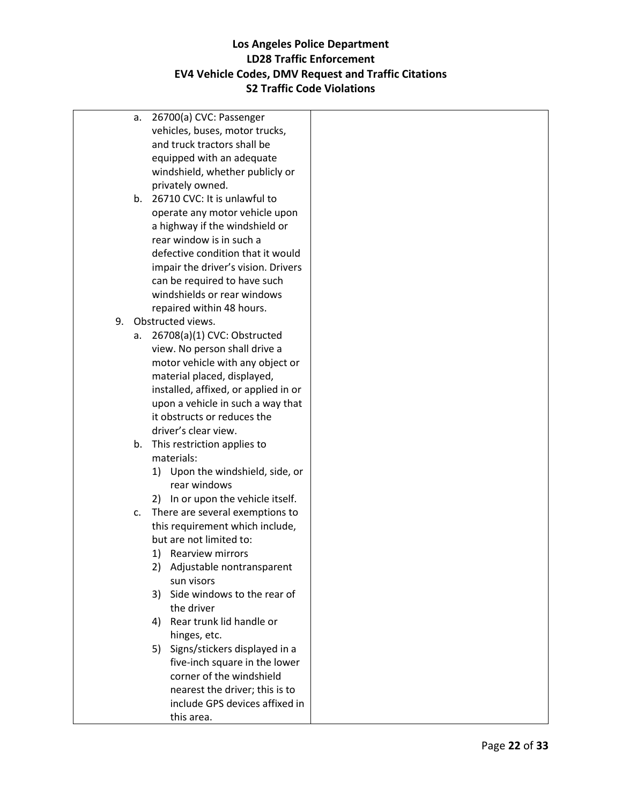a. 26700(a) CVC: Passenger vehicles, buses, motor trucks, and truck tractors shall be equipped with an adequate windshield, whether publicly or privately owned. b. 26710 CVC: It is unlawful to operate any motor vehicle upon a highway if the windshield or rear window is in such a defective condition that it would impair the driver's vision. Drivers can be required to have such windshields or rear windows repaired within 48 hours. 9. Obstructed views. a. 26708(a)(1) CVC: Obstructed view. No person shall drive a motor vehicle with any object or material placed, displayed, installed, affixed, or applied in or upon a vehicle in such a way that it obstructs or reduces the driver's clear view. b. This restriction applies to materials: 1) Upon the windshield, side, or rear windows 2) In or upon the vehicle itself. c. There are several exemptions to this requirement which include, but are not limited to: 1) Rearview mirrors 2) Adjustable nontransparent sun visors 3) Side windows to the rear of the driver 4) Rear trunk lid handle or hinges, etc. 5) Signs/stickers displayed in a five-inch square in the lower corner of the windshield nearest the driver; this is to include GPS devices affixed in this area.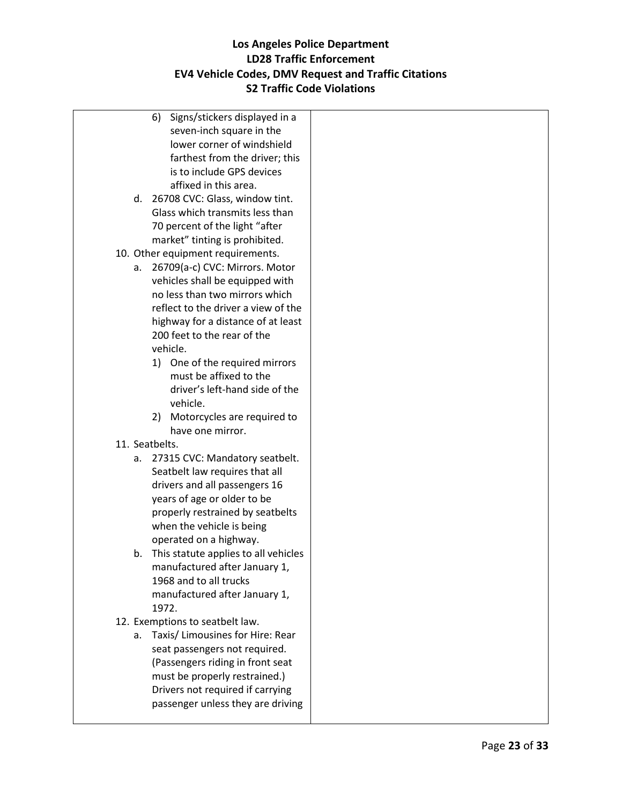- 6) Signs/stickers displayed in a seven-inch square in the lower corner of windshield farthest from the driver; this is to include GPS devices affixed in this area.
- d. 26708 CVC: Glass, window tint. Glass which transmits less than 70 percent of the light "after market" tinting is prohibited.
- 10. Other equipment requirements.
	- a. 26709(a-c) CVC: Mirrors. Motor vehicles shall be equipped with no less than two mirrors which reflect to the driver a view of the highway for a distance of at least 200 feet to the rear of the vehicle.
		- 1) One of the required mirrors must be affixed to the driver's left-hand side of the vehicle.
		- 2) Motorcycles are required to have one mirror.
- 11. Seatbelts.
	- a. 27315 CVC: Mandatory seatbelt. Seatbelt law requires that all drivers and all passengers 16 years of age or older to be properly restrained by seatbelts when the vehicle is being operated on a highway.
	- b. This statute applies to all vehicles manufactured after January 1, 1968 and to all trucks manufactured after January 1, 1972.
- 12. Exemptions to seatbelt law.
	- a. Taxis/ Limousines for Hire: Rear seat passengers not required. (Passengers riding in front seat must be properly restrained.) Drivers not required if carrying passenger unless they are driving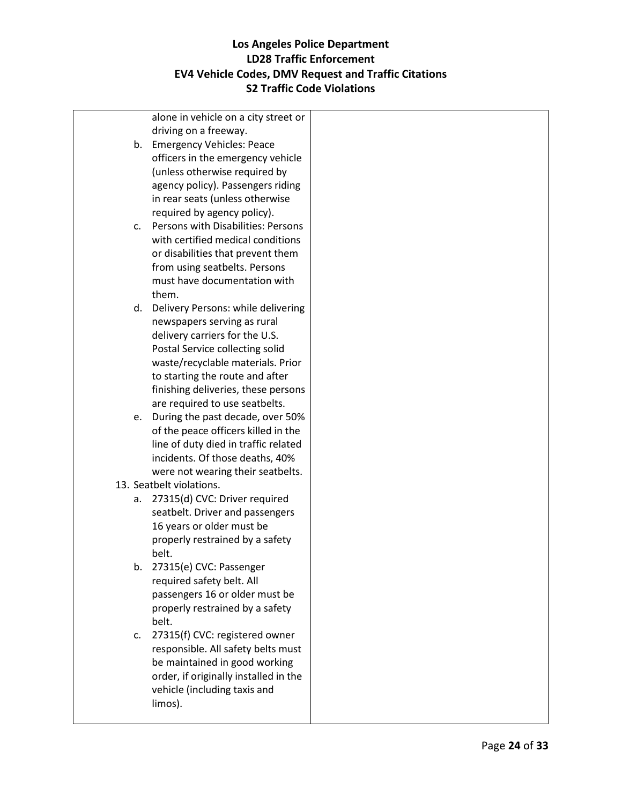alone in vehicle on a city street or driving on a freeway. b. Emergency Vehicles: Peace officers in the emergency vehicle (unless otherwise required by agency policy). Passengers riding in rear seats (unless otherwise required by agency policy). c. Persons with Disabilities: Persons with certified medical conditions or disabilities that prevent them from using seatbelts. Persons must have documentation with them. d. Delivery Persons: while delivering newspapers serving as rural delivery carriers for the U.S. Postal Service collecting solid waste/recyclable materials. Prior to starting the route and after finishing deliveries, these persons are required to use seatbelts. e. During the past decade, over 50% of the peace officers killed in the line of duty died in traffic related incidents. Of those deaths, 40% were not wearing their seatbelts. 13. Seatbelt violations. a. 27315(d) CVC: Driver required seatbelt. Driver and passengers 16 years or older must be properly restrained by a safety belt. b. 27315(e) CVC: Passenger required safety belt. All passengers 16 or older must be properly restrained by a safety belt. c. 27315(f) CVC: registered owner responsible. All safety belts must be maintained in good working order, if originally installed in the vehicle (including taxis and limos).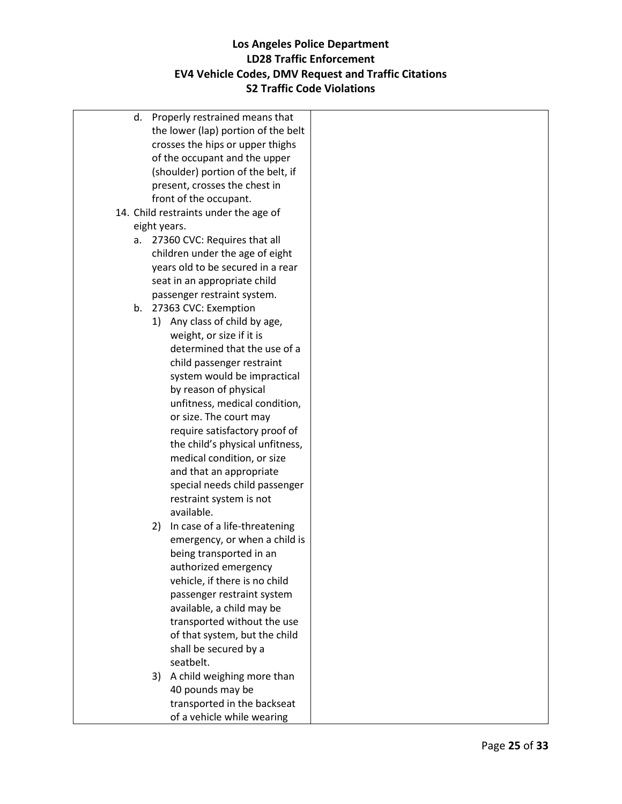|    | d. Properly restrained means that     |  |
|----|---------------------------------------|--|
|    | the lower (lap) portion of the belt   |  |
|    | crosses the hips or upper thighs      |  |
|    | of the occupant and the upper         |  |
|    | (shoulder) portion of the belt, if    |  |
|    | present, crosses the chest in         |  |
|    | front of the occupant.                |  |
|    | 14. Child restraints under the age of |  |
|    | eight years.                          |  |
| а. | 27360 CVC: Requires that all          |  |
|    | children under the age of eight       |  |
|    | years old to be secured in a rear     |  |
|    | seat in an appropriate child          |  |
|    | passenger restraint system.           |  |
|    | b. 27363 CVC: Exemption               |  |
|    | Any class of child by age,<br>1)      |  |
|    | weight, or size if it is              |  |
|    | determined that the use of a          |  |
|    | child passenger restraint             |  |
|    | system would be impractical           |  |
|    | by reason of physical                 |  |
|    | unfitness, medical condition,         |  |
|    | or size. The court may                |  |
|    | require satisfactory proof of         |  |
|    | the child's physical unfitness,       |  |
|    | medical condition, or size            |  |
|    | and that an appropriate               |  |
|    | special needs child passenger         |  |
|    | restraint system is not               |  |
|    | available.                            |  |
|    | In case of a life-threatening<br>2)   |  |
|    | emergency, or when a child is         |  |
|    | being transported in an               |  |
|    | authorized emergency                  |  |
|    | vehicle, if there is no child         |  |
|    | passenger restraint system            |  |
|    | available, a child may be             |  |
|    | transported without the use           |  |
|    | of that system, but the child         |  |
|    | shall be secured by a                 |  |
|    | seatbelt.                             |  |
|    | A child weighing more than<br>3)      |  |
|    | 40 pounds may be                      |  |
|    | transported in the backseat           |  |
|    | of a vehicle while wearing            |  |
|    |                                       |  |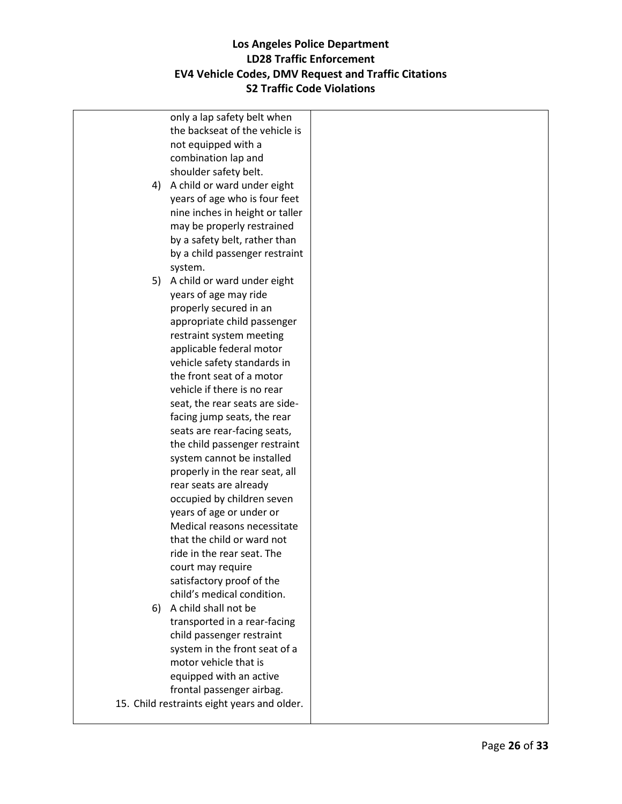|    | only a lap safety belt when                 |  |
|----|---------------------------------------------|--|
|    | the backseat of the vehicle is              |  |
|    | not equipped with a                         |  |
|    | combination lap and                         |  |
|    | shoulder safety belt.                       |  |
|    | 4) A child or ward under eight              |  |
|    | years of age who is four feet               |  |
|    | nine inches in height or taller             |  |
|    | may be properly restrained                  |  |
|    | by a safety belt, rather than               |  |
|    | by a child passenger restraint              |  |
|    |                                             |  |
|    | system.                                     |  |
|    | 5) A child or ward under eight              |  |
|    | years of age may ride                       |  |
|    | properly secured in an                      |  |
|    | appropriate child passenger                 |  |
|    | restraint system meeting                    |  |
|    | applicable federal motor                    |  |
|    | vehicle safety standards in                 |  |
|    | the front seat of a motor                   |  |
|    | vehicle if there is no rear                 |  |
|    | seat, the rear seats are side-              |  |
|    | facing jump seats, the rear                 |  |
|    | seats are rear-facing seats,                |  |
|    | the child passenger restraint               |  |
|    | system cannot be installed                  |  |
|    | properly in the rear seat, all              |  |
|    | rear seats are already                      |  |
|    | occupied by children seven                  |  |
|    | years of age or under or                    |  |
|    | Medical reasons necessitate                 |  |
|    | that the child or ward not                  |  |
|    | ride in the rear seat. The                  |  |
|    | court may require                           |  |
|    | satisfactory proof of the                   |  |
|    | child's medical condition.                  |  |
| 6) | A child shall not be                        |  |
|    | transported in a rear-facing                |  |
|    | child passenger restraint                   |  |
|    | system in the front seat of a               |  |
|    | motor vehicle that is                       |  |
|    | equipped with an active                     |  |
|    | frontal passenger airbag.                   |  |
|    | 15. Child restraints eight years and older. |  |
|    |                                             |  |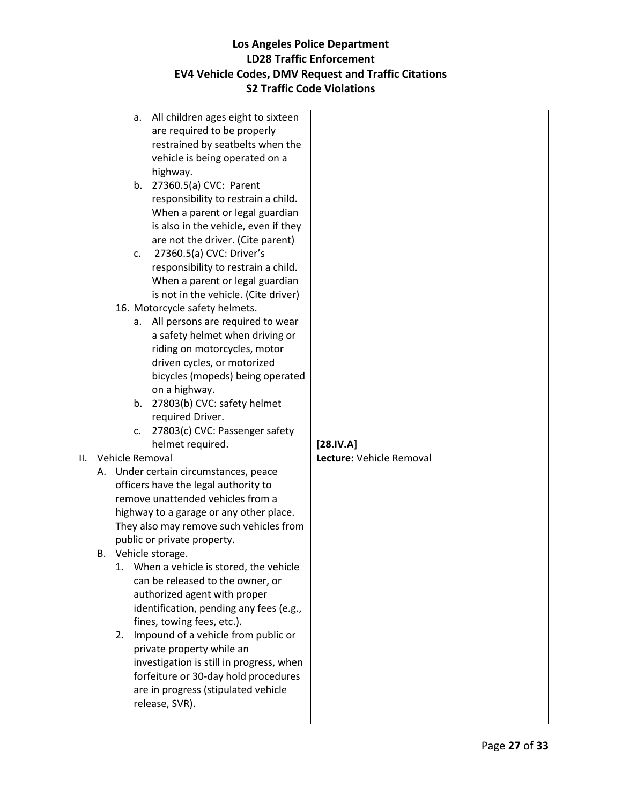|     | a.              | All children ages eight to sixteen                                                 |                          |
|-----|-----------------|------------------------------------------------------------------------------------|--------------------------|
|     |                 | are required to be properly                                                        |                          |
|     |                 | restrained by seatbelts when the                                                   |                          |
|     |                 | vehicle is being operated on a                                                     |                          |
|     |                 | highway.                                                                           |                          |
|     |                 | b. 27360.5(a) CVC: Parent                                                          |                          |
|     |                 | responsibility to restrain a child.                                                |                          |
|     |                 | When a parent or legal guardian                                                    |                          |
|     |                 | is also in the vehicle, even if they                                               |                          |
|     |                 | are not the driver. (Cite parent)                                                  |                          |
|     | C.              | 27360.5(a) CVC: Driver's                                                           |                          |
|     |                 | responsibility to restrain a child.                                                |                          |
|     |                 | When a parent or legal guardian                                                    |                          |
|     |                 | is not in the vehicle. (Cite driver)                                               |                          |
|     |                 | 16. Motorcycle safety helmets.                                                     |                          |
|     | а.              | All persons are required to wear                                                   |                          |
|     |                 | a safety helmet when driving or                                                    |                          |
|     |                 | riding on motorcycles, motor                                                       |                          |
|     |                 | driven cycles, or motorized                                                        |                          |
|     |                 | bicycles (mopeds) being operated                                                   |                          |
|     |                 | on a highway.                                                                      |                          |
|     | b.              | 27803(b) CVC: safety helmet                                                        |                          |
|     |                 | required Driver.                                                                   |                          |
|     | c.              | 27803(c) CVC: Passenger safety                                                     |                          |
|     |                 | helmet required.                                                                   | [28.IV.A]                |
| II. | Vehicle Removal |                                                                                    | Lecture: Vehicle Removal |
|     |                 | A. Under certain circumstances, peace                                              |                          |
|     |                 | officers have the legal authority to                                               |                          |
|     |                 | remove unattended vehicles from a                                                  |                          |
|     |                 | highway to a garage or any other place.<br>They also may remove such vehicles from |                          |
|     |                 | public or private property.                                                        |                          |
|     |                 | B. Vehicle storage.                                                                |                          |
|     | 1.              | When a vehicle is stored, the vehicle                                              |                          |
|     |                 | can be released to the owner, or                                                   |                          |
|     |                 | authorized agent with proper                                                       |                          |
|     |                 | identification, pending any fees (e.g.,                                            |                          |
|     |                 | fines, towing fees, etc.).                                                         |                          |
|     |                 | 2. Impound of a vehicle from public or                                             |                          |
|     |                 | private property while an                                                          |                          |
|     |                 | investigation is still in progress, when                                           |                          |
|     |                 | forfeiture or 30-day hold procedures                                               |                          |
|     |                 | are in progress (stipulated vehicle                                                |                          |
|     |                 | release, SVR).                                                                     |                          |
|     |                 |                                                                                    |                          |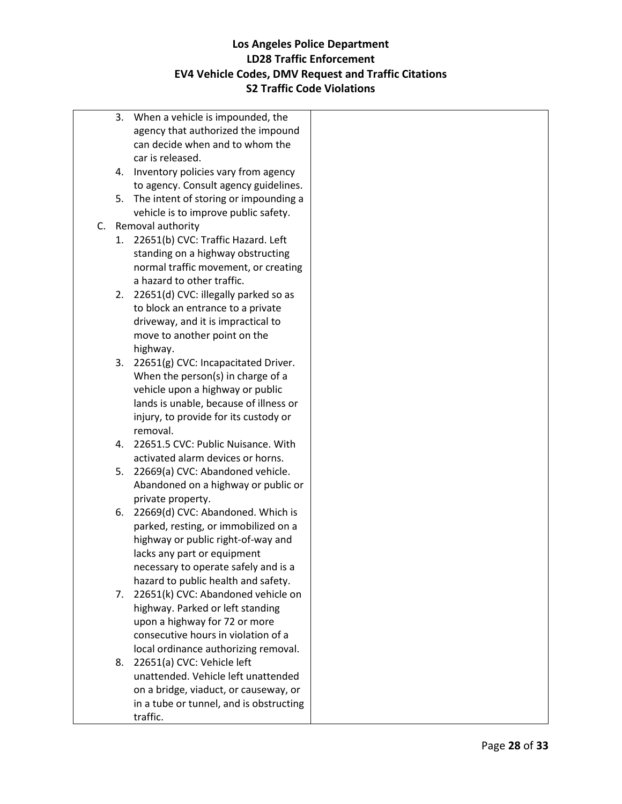- 3. When a vehicle is impounded, the agency that authorized the impound can decide when and to whom the car is released.
- 4. Inventory policies vary from agency to agency. Consult agency guidelines.
- 5. The intent of storing or impounding a vehicle is to improve public safety.
- C. Removal authority
	- 1. 22651(b) CVC: Traffic Hazard. Left standing on a highway obstructing normal traffic movement, or creating a hazard to other traffic.
	- 2. 22651(d) CVC: illegally parked so as to block an entrance to a private driveway, and it is impractical to move to another point on the highway.
	- 3. 22651(g) CVC: Incapacitated Driver. When the person(s) in charge of a vehicle upon a highway or public lands is unable, because of illness or injury, to provide for its custody or removal.
	- 4. 22651.5 CVC: Public Nuisance. With activated alarm devices or horns.
	- 5. 22669(a) CVC: Abandoned vehicle. Abandoned on a highway or public or private property.
	- 6. 22669(d) CVC: Abandoned. Which is parked, resting, or immobilized on a highway or public right-of-way and lacks any part or equipment necessary to operate safely and is a hazard to public health and safety.
	- 7. 22651(k) CVC: Abandoned vehicle on highway. Parked or left standing upon a highway for 72 or more consecutive hours in violation of a local ordinance authorizing removal.
	- 8. 22651(a) CVC: Vehicle left unattended. Vehicle left unattended on a bridge, viaduct, or causeway, or in a tube or tunnel, and is obstructing traffic.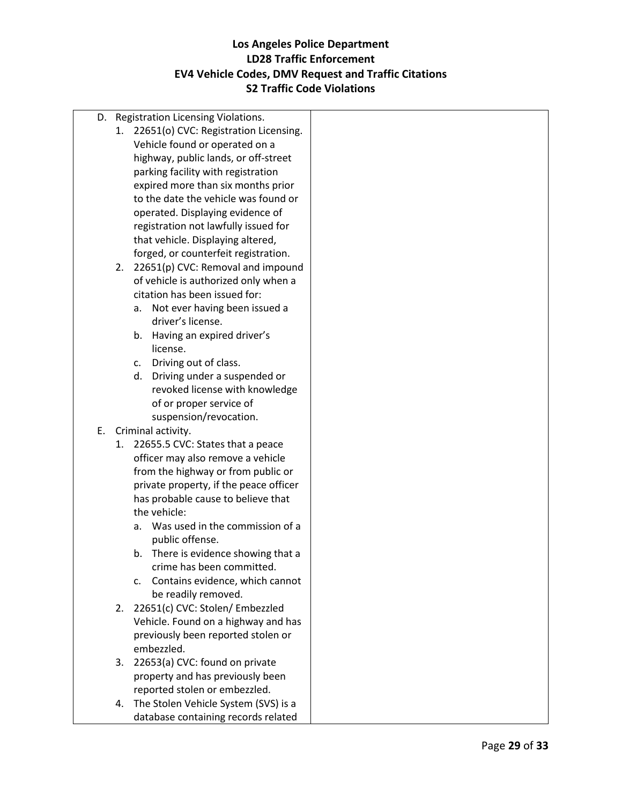D. Registration Licensing Violations. 1. 22651(o) CVC: Registration Licensing. Vehicle found or operated on a highway, public lands, or off-street parking facility with registration expired more than six months prior to the date the vehicle was found or operated. Displaying evidence of registration not lawfully issued for that vehicle. Displaying altered, forged, or counterfeit registration. 2. 22651(p) CVC: Removal and impound of vehicle is authorized only when a citation has been issued for: a. Not ever having been issued a driver's license. b. Having an expired driver's license. c. Driving out of class. d. Driving under a suspended or revoked license with knowledge of or proper service of suspension/revocation. E. Criminal activity. 1. 22655.5 CVC: States that a peace officer may also remove a vehicle from the highway or from public or private property, if the peace officer has probable cause to believe that the vehicle: a. Was used in the commission of a public offense. b. There is evidence showing that a crime has been committed. c. Contains evidence, which cannot be readily removed. 2. 22651(c) CVC: Stolen/ Embezzled Vehicle. Found on a highway and has previously been reported stolen or embezzled. 3. 22653(a) CVC: found on private property and has previously been reported stolen or embezzled. 4. The Stolen Vehicle System (SVS) is a database containing records related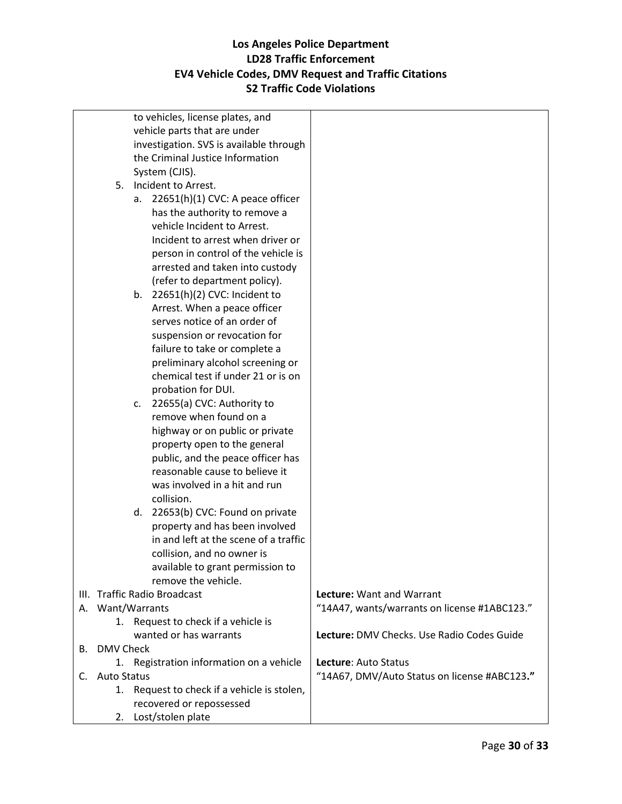|    |                              |    | to vehicles, license plates, and            |                                              |
|----|------------------------------|----|---------------------------------------------|----------------------------------------------|
|    |                              |    | vehicle parts that are under                |                                              |
|    |                              |    | investigation. SVS is available through     |                                              |
|    |                              |    | the Criminal Justice Information            |                                              |
|    |                              |    | System (CJIS).                              |                                              |
|    |                              |    |                                             |                                              |
|    |                              |    | 5. Incident to Arrest.                      |                                              |
|    |                              | а. | 22651(h)(1) CVC: A peace officer            |                                              |
|    |                              |    | has the authority to remove a               |                                              |
|    |                              |    | vehicle Incident to Arrest.                 |                                              |
|    |                              |    | Incident to arrest when driver or           |                                              |
|    |                              |    | person in control of the vehicle is         |                                              |
|    |                              |    | arrested and taken into custody             |                                              |
|    |                              |    |                                             |                                              |
|    |                              |    | (refer to department policy).               |                                              |
|    |                              | b. | 22651(h)(2) CVC: Incident to                |                                              |
|    |                              |    | Arrest. When a peace officer                |                                              |
|    |                              |    | serves notice of an order of                |                                              |
|    |                              |    | suspension or revocation for                |                                              |
|    |                              |    | failure to take or complete a               |                                              |
|    |                              |    | preliminary alcohol screening or            |                                              |
|    |                              |    | chemical test if under 21 or is on          |                                              |
|    |                              |    | probation for DUI.                          |                                              |
|    |                              |    |                                             |                                              |
|    |                              | c. | 22655(a) CVC: Authority to                  |                                              |
|    |                              |    | remove when found on a                      |                                              |
|    |                              |    | highway or on public or private             |                                              |
|    |                              |    | property open to the general                |                                              |
|    |                              |    | public, and the peace officer has           |                                              |
|    |                              |    | reasonable cause to believe it              |                                              |
|    |                              |    | was involved in a hit and run               |                                              |
|    |                              |    | collision.                                  |                                              |
|    |                              | d. | 22653(b) CVC: Found on private              |                                              |
|    |                              |    |                                             |                                              |
|    |                              |    | property and has been involved              |                                              |
|    |                              |    | in and left at the scene of a traffic       |                                              |
|    |                              |    | collision, and no owner is                  |                                              |
|    |                              |    | available to grant permission to            |                                              |
|    |                              |    | remove the vehicle.                         |                                              |
|    | III. Traffic Radio Broadcast |    |                                             | Lecture: Want and Warrant                    |
|    | A. Want/Warrants             |    |                                             | "14A47, wants/warrants on license #1ABC123." |
|    |                              |    | 1. Request to check if a vehicle is         |                                              |
|    |                              |    | wanted or has warrants                      | Lecture: DMV Checks. Use Radio Codes Guide   |
|    | <b>B.</b> DMV Check          |    |                                             |                                              |
|    |                              |    | 1. Registration information on a vehicle    | Lecture: Auto Status                         |
|    | <b>Auto Status</b>           |    |                                             | "14A67, DMV/Auto Status on license #ABC123." |
| C. |                              |    |                                             |                                              |
|    |                              |    | 1. Request to check if a vehicle is stolen, |                                              |
|    |                              |    | recovered or repossessed                    |                                              |
|    | 2.                           |    | Lost/stolen plate                           |                                              |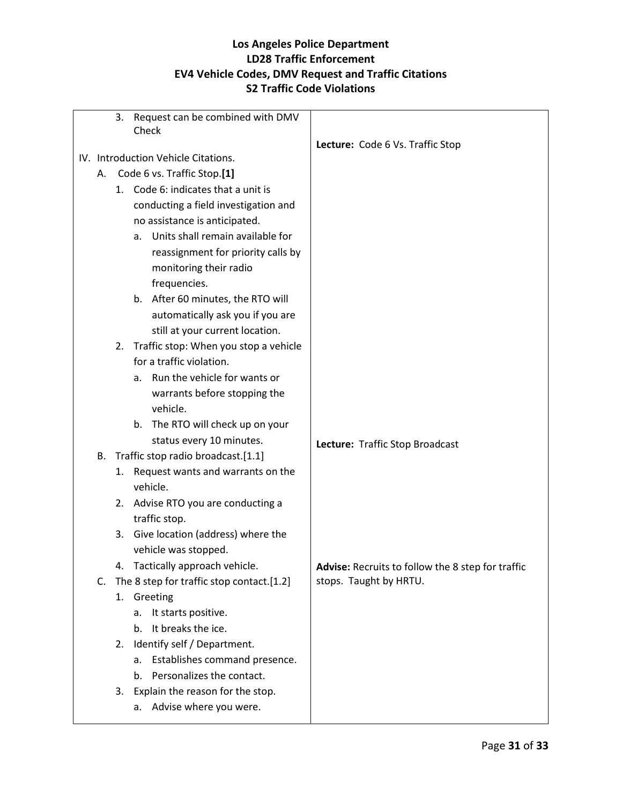|  |                                     | 3. | Request can be combined with DMV             |                                                          |
|--|-------------------------------------|----|----------------------------------------------|----------------------------------------------------------|
|  |                                     |    | Check                                        |                                                          |
|  |                                     |    |                                              | Lecture: Code 6 Vs. Traffic Stop                         |
|  | IV. Introduction Vehicle Citations. |    |                                              |                                                          |
|  | А.                                  |    | Code 6 vs. Traffic Stop.[1]                  |                                                          |
|  |                                     |    | 1. Code 6: indicates that a unit is          |                                                          |
|  |                                     |    | conducting a field investigation and         |                                                          |
|  |                                     |    | no assistance is anticipated.                |                                                          |
|  |                                     |    | Units shall remain available for<br>a.       |                                                          |
|  |                                     |    | reassignment for priority calls by           |                                                          |
|  |                                     |    | monitoring their radio                       |                                                          |
|  |                                     |    | frequencies.                                 |                                                          |
|  |                                     |    | b. After 60 minutes, the RTO will            |                                                          |
|  |                                     |    | automatically ask you if you are             |                                                          |
|  |                                     |    | still at your current location.              |                                                          |
|  |                                     |    | 2. Traffic stop: When you stop a vehicle     |                                                          |
|  |                                     |    | for a traffic violation.                     |                                                          |
|  |                                     |    | Run the vehicle for wants or<br>a.           |                                                          |
|  |                                     |    | warrants before stopping the                 |                                                          |
|  |                                     |    | vehicle.                                     |                                                          |
|  |                                     |    | The RTO will check up on your<br>b.          |                                                          |
|  |                                     |    | status every 10 minutes.                     | Lecture: Traffic Stop Broadcast                          |
|  | В.                                  |    | Traffic stop radio broadcast.[1.1]           |                                                          |
|  |                                     | 1. | Request wants and warrants on the            |                                                          |
|  |                                     |    | vehicle.                                     |                                                          |
|  |                                     |    | 2. Advise RTO you are conducting a           |                                                          |
|  |                                     |    | traffic stop.                                |                                                          |
|  |                                     |    | 3. Give location (address) where the         |                                                          |
|  |                                     |    | vehicle was stopped.                         |                                                          |
|  |                                     |    | 4. Tactically approach vehicle.              | <b>Advise:</b> Recruits to follow the 8 step for traffic |
|  |                                     |    | C. The 8 step for traffic stop contact.[1.2] | stops. Taught by HRTU.                                   |
|  |                                     |    | 1. Greeting                                  |                                                          |
|  |                                     |    | It starts positive.<br>а.                    |                                                          |
|  |                                     |    | It breaks the ice.<br>b.                     |                                                          |
|  |                                     | 2. | Identify self / Department.                  |                                                          |
|  |                                     |    | Establishes command presence.<br>a.          |                                                          |
|  |                                     |    | Personalizes the contact.<br>b.              |                                                          |
|  |                                     |    | 3. Explain the reason for the stop.          |                                                          |
|  |                                     |    | Advise where you were.<br>a.                 |                                                          |
|  |                                     |    |                                              |                                                          |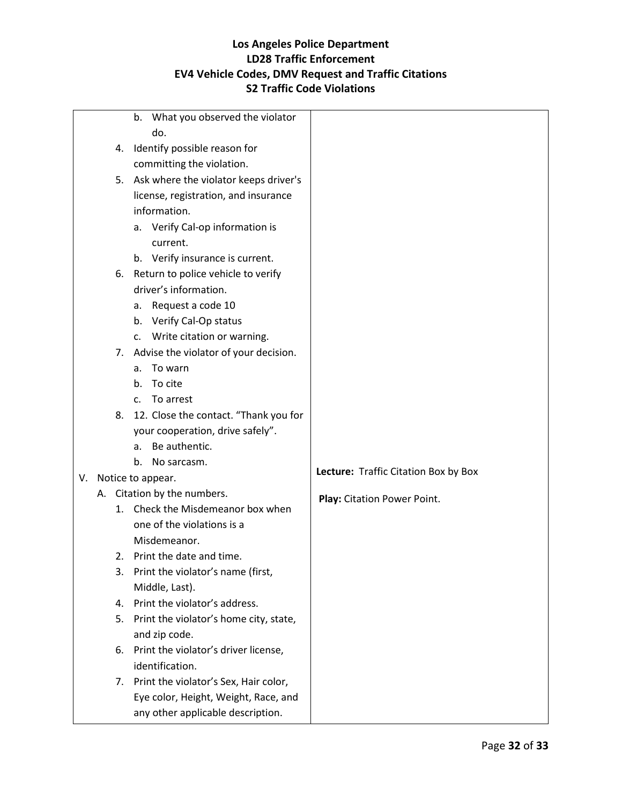|    |    | What you observed the violator<br>b.     |                                      |
|----|----|------------------------------------------|--------------------------------------|
|    |    | do.                                      |                                      |
|    | 4. | Identify possible reason for             |                                      |
|    |    | committing the violation.                |                                      |
|    |    | 5. Ask where the violator keeps driver's |                                      |
|    |    | license, registration, and insurance     |                                      |
|    |    | information.                             |                                      |
|    |    | a. Verify Cal-op information is          |                                      |
|    |    | current.                                 |                                      |
|    |    | b. Verify insurance is current.          |                                      |
|    | 6. | Return to police vehicle to verify       |                                      |
|    |    | driver's information.                    |                                      |
|    |    | a. Request a code 10                     |                                      |
|    |    | b. Verify Cal-Op status                  |                                      |
|    |    | c. Write citation or warning.            |                                      |
|    | 7. | Advise the violator of your decision.    |                                      |
|    |    | To warn<br>а.                            |                                      |
|    |    | To cite<br>b.                            |                                      |
|    |    | To arrest<br>c.                          |                                      |
|    | 8. | 12. Close the contact. "Thank you for    |                                      |
|    |    | your cooperation, drive safely".         |                                      |
|    |    | Be authentic.<br>a.                      |                                      |
|    |    | No sarcasm.<br>b.                        | Lecture: Traffic Citation Box by Box |
| V. |    | Notice to appear.                        |                                      |
|    |    | A. Citation by the numbers.              | Play: Citation Power Point.          |
|    | 1. | Check the Misdemeanor box when           |                                      |
|    |    | one of the violations is a               |                                      |
|    |    | Misdemeanor.                             |                                      |
|    | 2. | Print the date and time.                 |                                      |
|    | 3. | Print the violator's name (first,        |                                      |
|    |    | Middle, Last).                           |                                      |
|    | 4. | Print the violator's address.            |                                      |
|    | 5. | Print the violator's home city, state,   |                                      |
|    |    | and zip code.                            |                                      |
|    | 6. | Print the violator's driver license,     |                                      |
|    |    | identification.                          |                                      |
|    |    | 7. Print the violator's Sex, Hair color, |                                      |
|    |    | Eye color, Height, Weight, Race, and     |                                      |
|    |    | any other applicable description.        |                                      |